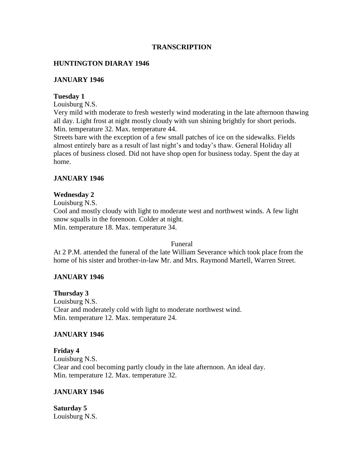### **TRANSCRIPTION**

## **HUNTINGTON DIARAY 1946**

### **JANUARY 1946**

#### **Tuesday 1**

Louisburg N.S.

Very mild with moderate to fresh westerly wind moderating in the late afternoon thawing all day. Light frost at night mostly cloudy with sun shining brightly for short periods. Min. temperature 32. Max. temperature 44.

Streets bare with the exception of a few small patches of ice on the sidewalks. Fields almost entirely bare as a result of last night's and today's thaw. General Holiday all places of business closed. Did not have shop open for business today. Spent the day at home.

#### **JANUARY 1946**

#### **Wednesday 2**

Louisburg N.S. Cool and mostly cloudy with light to moderate west and northwest winds. A few light snow squalls in the forenoon. Colder at night. Min. temperature 18. Max. temperature 34.

#### Funeral

At 2 P.M. attended the funeral of the late William Severance which took place from the home of his sister and brother-in-law Mr. and Mrs. Raymond Martell, Warren Street.

### **JANUARY 1946**

**Thursday 3** Louisburg N.S. Clear and moderately cold with light to moderate northwest wind. Min. temperature 12. Max. temperature 24.

### **JANUARY 1946**

**Friday 4** Louisburg N.S. Clear and cool becoming partly cloudy in the late afternoon. An ideal day. Min. temperature 12. Max. temperature 32.

#### **JANUARY 1946**

**Saturday 5** Louisburg N.S.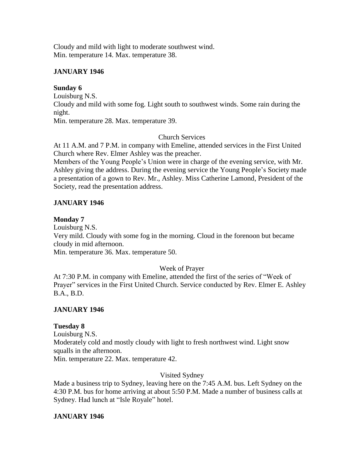Cloudy and mild with light to moderate southwest wind. Min. temperature 14. Max. temperature 38.

## **JANUARY 1946**

# **Sunday 6**

Louisburg N.S. Cloudy and mild with some fog. Light south to southwest winds. Some rain during the night. Min. temperature 28. Max. temperature 39.

# Church Services

At 11 A.M. and 7 P.M. in company with Emeline, attended services in the First United Church where Rev. Elmer Ashley was the preacher.

Members of the Young People's Union were in charge of the evening service, with Mr. Ashley giving the address. During the evening service the Young People's Society made a presentation of a gown to Rev. Mr., Ashley. Miss Catherine Lamond, President of the Society, read the presentation address.

# **JANUARY 1946**

## **Monday 7**

Louisburg N.S. Very mild. Cloudy with some fog in the morning. Cloud in the forenoon but became cloudy in mid afternoon. Min. temperature 36. Max. temperature 50.

# Week of Prayer

At 7:30 P.M. in company with Emeline, attended the first of the series of "Week of Prayer" services in the First United Church. Service conducted by Rev. Elmer E. Ashley B.A., B.D.

# **JANUARY 1946**

# **Tuesday 8**

Louisburg N.S. Moderately cold and mostly cloudy with light to fresh northwest wind. Light snow squalls in the afternoon. Min. temperature 22. Max. temperature 42.

# Visited Sydney

Made a business trip to Sydney, leaving here on the 7:45 A.M. bus. Left Sydney on the 4:30 P.M. bus for home arriving at about 5:50 P.M. Made a number of business calls at Sydney. Had lunch at "Isle Royale" hotel.

# **JANUARY 1946**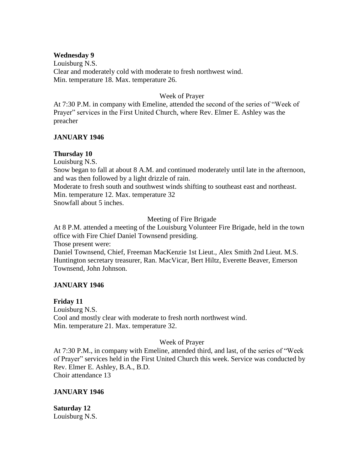#### **Wednesday 9**

Louisburg N.S. Clear and moderately cold with moderate to fresh northwest wind. Min. temperature 18. Max. temperature 26.

#### Week of Prayer

At 7:30 P.M. in company with Emeline, attended the second of the series of "Week of Prayer" services in the First United Church, where Rev. Elmer E. Ashley was the preacher

### **JANUARY 1946**

### **Thursday 10**

Louisburg N.S.

Snow began to fall at about 8 A.M. and continued moderately until late in the afternoon, and was then followed by a light drizzle of rain.

Moderate to fresh south and southwest winds shifting to southeast east and northeast. Min. temperature 12. Max. temperature 32

Snowfall about 5 inches.

### Meeting of Fire Brigade

At 8 P.M. attended a meeting of the Louisburg Volunteer Fire Brigade, held in the town office with Fire Chief Daniel Townsend presiding.

Those present were:

Daniel Townsend, Chief, Freeman MacKenzie 1st Lieut., Alex Smith 2nd Lieut. M.S. Huntington secretary treasurer, Ran. MacVicar, Bert Hiltz, Everette Beaver, Emerson Townsend, John Johnson.

### **JANUARY 1946**

### **Friday 11**

Louisburg N.S. Cool and mostly clear with moderate to fresh north northwest wind. Min. temperature 21. Max. temperature 32.

### Week of Prayer

At 7:30 P.M., in company with Emeline, attended third, and last, of the series of "Week of Prayer" services held in the First United Church this week. Service was conducted by Rev. Elmer E. Ashley, B.A., B.D. Choir attendance 13

### **JANUARY 1946**

**Saturday 12** Louisburg N.S.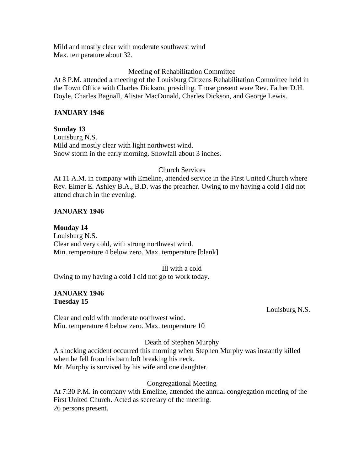Mild and mostly clear with moderate southwest wind Max. temperature about 32.

## Meeting of Rehabilitation Committee

At 8 P.M. attended a meeting of the Louisburg Citizens Rehabilitation Committee held in the Town Office with Charles Dickson, presiding. Those present were Rev. Father D.H. Doyle, Charles Bagnall, Alistar MacDonald, Charles Dickson, and George Lewis.

### **JANUARY 1946**

**Sunday 13** Louisburg N.S. Mild and mostly clear with light northwest wind. Snow storm in the early morning. Snowfall about 3 inches.

### Church Services

At 11 A.M. in company with Emeline, attended service in the First United Church where Rev. Elmer E. Ashley B.A., B.D. was the preacher. Owing to my having a cold I did not attend church in the evening.

## **JANUARY 1946**

**Monday 14** Louisburg N.S. Clear and very cold, with strong northwest wind. Min. temperature 4 below zero. Max. temperature [blank]

Ill with a cold

Owing to my having a cold I did not go to work today.

### **JANUARY 1946 Tuesday 15**

Louisburg N.S.

Clear and cold with moderate northwest wind. Min. temperature 4 below zero. Max. temperature 10

### Death of Stephen Murphy

A shocking accident occurred this morning when Stephen Murphy was instantly killed when he fell from his barn loft breaking his neck. Mr. Murphy is survived by his wife and one daughter.

### Congregational Meeting

At 7:30 P.M. in company with Emeline, attended the annual congregation meeting of the First United Church. Acted as secretary of the meeting. 26 persons present.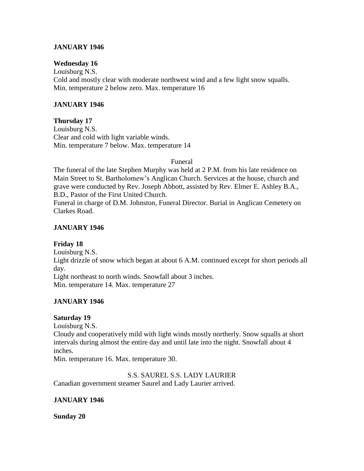### **JANUARY 1946**

### **Wednesday 16**

Louisburg N.S. Cold and mostly clear with moderate northwest wind and a few light snow squalls. Min. temperature 2 below zero. Max. temperature 16

## **JANUARY 1946**

**Thursday 17** Louisburg N.S. Clear and cold with light variable winds. Min. temperature 7 below. Max. temperature 14

Funeral

The funeral of the late Stephen Murphy was held at 2 P.M. from his late residence on Main Street to St. Bartholomew's Anglican Church. Services at the house, church and grave were conducted by Rev. Joseph Abbott, assisted by Rev. Elmer E. Ashley B.A., B.D., Pastor of the First United Church.

Funeral in charge of D.M. Johnston, Funeral Director. Burial in Anglican Cemetery on Clarkes Road.

## **JANUARY 1946**

# **Friday 18**

Louisburg N.S. Light drizzle of snow which began at about 6 A.M. continued except for short periods all day. Light northeast to north winds. Snowfall about 3 inches. Min. temperature 14. Max. temperature 27

# **JANUARY 1946**

### **Saturday 19**

Louisburg N.S.

Cloudy and cooperatively mild with light winds mostly northerly. Snow squalls at short intervals during almost the entire day and until late into the night. Snowfall about 4 inches.

Min. temperature 16. Max. temperature 30.

S.S. SAUREL S.S. LADY LAURIER

Canadian government steamer Saurel and Lady Laurier arrived.

### **JANUARY 1946**

**Sunday 20**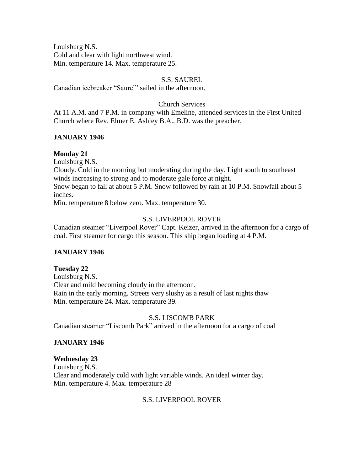Louisburg N.S. Cold and clear with light northwest wind. Min. temperature 14. Max. temperature 25.

## S.S. SAUREL

Canadian icebreaker "Saurel" sailed in the afternoon.

### Church Services

At 11 A.M. and 7 P.M. in company with Emeline, attended services in the First United Church where Rev. Elmer E. Ashley B.A., B.D. was the preacher.

## **JANUARY 1946**

## **Monday 21**

Louisburg N.S.

Cloudy. Cold in the morning but moderating during the day. Light south to southeast winds increasing to strong and to moderate gale force at night.

Snow began to fall at about 5 P.M. Snow followed by rain at 10 P.M. Snowfall about 5 inches.

Min. temperature 8 below zero. Max. temperature 30.

## S.S. LIVERPOOL ROVER

Canadian steamer "Liverpool Rover" Capt. Keizer, arrived in the afternoon for a cargo of coal. First steamer for cargo this season. This ship began loading at 4 P.M.

# **JANUARY 1946**

# **Tuesday 22**

Louisburg N.S. Clear and mild becoming cloudy in the afternoon. Rain in the early morning. Streets very slushy as a result of last nights thaw Min. temperature 24. Max. temperature 39.

### S.S. LISCOMB PARK

Canadian steamer "Liscomb Park" arrived in the afternoon for a cargo of coal

### **JANUARY 1946**

### **Wednesday 23**

Louisburg N.S. Clear and moderately cold with light variable winds. An ideal winter day. Min. temperature 4. Max. temperature 28

### S.S. LIVERPOOL ROVER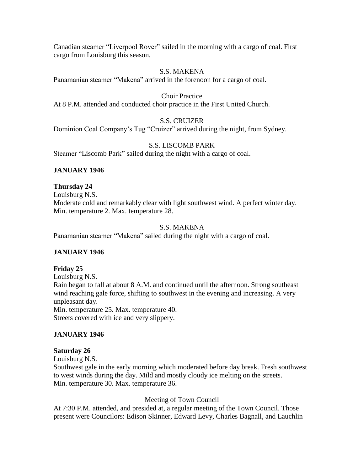Canadian steamer "Liverpool Rover" sailed in the morning with a cargo of coal. First cargo from Louisburg this season.

### S.S. MAKENA

Panamanian steamer "Makena" arrived in the forenoon for a cargo of coal.

#### Choir Practice

At 8 P.M. attended and conducted choir practice in the First United Church.

### S.S. CRUIZER

Dominion Coal Company's Tug "Cruizer" arrived during the night, from Sydney.

## S.S. LISCOMB PARK

Steamer "Liscomb Park" sailed during the night with a cargo of coal.

## **JANUARY 1946**

### **Thursday 24**

Louisburg N.S. Moderate cold and remarkably clear with light southwest wind. A perfect winter day. Min. temperature 2. Max. temperature 28.

### S.S. MAKENA

Panamanian steamer "Makena" sailed during the night with a cargo of coal.

# **JANUARY 1946**

### **Friday 25**

Louisburg N.S. Rain began to fall at about 8 A.M. and continued until the afternoon. Strong southeast wind reaching gale force, shifting to southwest in the evening and increasing. A very unpleasant day. Min. temperature 25. Max. temperature 40. Streets covered with ice and very slippery.

### **JANUARY 1946**

### **Saturday 26**

Louisburg N.S.

Southwest gale in the early morning which moderated before day break. Fresh southwest to west winds during the day. Mild and mostly cloudy ice melting on the streets. Min. temperature 30. Max. temperature 36.

### Meeting of Town Council

At 7:30 P.M. attended, and presided at, a regular meeting of the Town Council. Those present were Councilors: Edison Skinner, Edward Levy, Charles Bagnall, and Lauchlin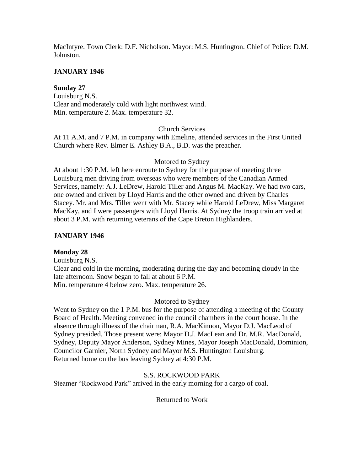MacIntyre. Town Clerk: D.F. Nicholson. Mayor: M.S. Huntington. Chief of Police: D.M. Johnston.

## **JANUARY 1946**

## **Sunday 27**

Louisburg N.S. Clear and moderately cold with light northwest wind. Min. temperature 2. Max. temperature 32.

## Church Services

At 11 A.M. and 7 P.M. in company with Emeline, attended services in the First United Church where Rev. Elmer E. Ashley B.A., B.D. was the preacher.

## Motored to Sydney

At about 1:30 P.M. left here enroute to Sydney for the purpose of meeting three Louisburg men driving from overseas who were members of the Canadian Armed Services, namely: A.J. LeDrew, Harold Tiller and Angus M. MacKay. We had two cars, one owned and driven by Lloyd Harris and the other owned and driven by Charles Stacey. Mr. and Mrs. Tiller went with Mr. Stacey while Harold LeDrew, Miss Margaret MacKay, and I were passengers with Lloyd Harris. At Sydney the troop train arrived at about 3 P.M. with returning veterans of the Cape Breton Highlanders.

## **JANUARY 1946**

# **Monday 28**

Louisburg N.S. Clear and cold in the morning, moderating during the day and becoming cloudy in the late afternoon. Snow began to fall at about 6 P.M. Min. temperature 4 below zero. Max. temperature 26.

### Motored to Sydney

Went to Sydney on the 1 P.M. bus for the purpose of attending a meeting of the County Board of Health. Meeting convened in the council chambers in the court house. In the absence through illness of the chairman, R.A. MacKinnon, Mayor D.J. MacLeod of Sydney presided. Those present were: Mayor D.J. MacLean and Dr. M.R. MacDonald, Sydney, Deputy Mayor Anderson, Sydney Mines, Mayor Joseph MacDonald, Dominion, Councilor Garnier, North Sydney and Mayor M.S. Huntington Louisburg. Returned home on the bus leaving Sydney at 4:30 P.M.

### S.S. ROCKWOOD PARK

Steamer "Rockwood Park" arrived in the early morning for a cargo of coal.

Returned to Work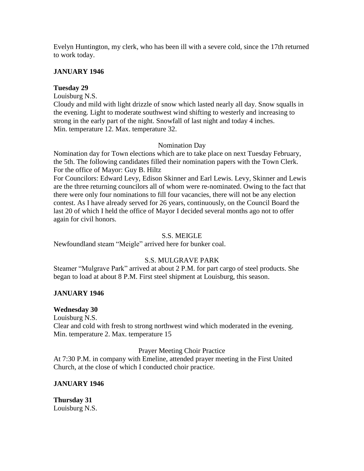Evelyn Huntington, my clerk, who has been ill with a severe cold, since the 17th returned to work today.

## **JANUARY 1946**

## **Tuesday 29**

Louisburg N.S.

Cloudy and mild with light drizzle of snow which lasted nearly all day. Snow squalls in the evening. Light to moderate southwest wind shifting to westerly and increasing to strong in the early part of the night. Snowfall of last night and today 4 inches. Min. temperature 12. Max. temperature 32.

### Nomination Day

Nomination day for Town elections which are to take place on next Tuesday February, the 5th. The following candidates filled their nomination papers with the Town Clerk. For the office of Mayor: Guy B. Hiltz

For Councilors: Edward Levy, Edison Skinner and Earl Lewis. Levy, Skinner and Lewis are the three returning councilors all of whom were re-nominated. Owing to the fact that there were only four nominations to fill four vacancies, there will not be any election contest. As I have already served for 26 years, continuously, on the Council Board the last 20 of which I held the office of Mayor I decided several months ago not to offer again for civil honors.

### S.S. MEIGLE

Newfoundland steam "Meigle" arrived here for bunker coal.

# S.S. MULGRAVE PARK

Steamer "Mulgrave Park" arrived at about 2 P.M. for part cargo of steel products. She began to load at about 8 P.M. First steel shipment at Louisburg, this season.

# **JANUARY 1946**

### **Wednesday 30**

Louisburg N.S.

Clear and cold with fresh to strong northwest wind which moderated in the evening. Min. temperature 2. Max. temperature 15

### Prayer Meeting Choir Practice

At 7:30 P.M. in company with Emeline, attended prayer meeting in the First United Church, at the close of which I conducted choir practice.

# **JANUARY 1946**

**Thursday 31** Louisburg N.S.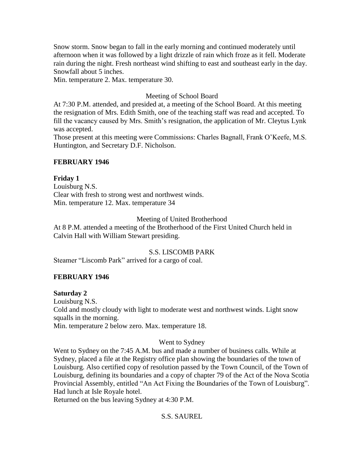Snow storm. Snow began to fall in the early morning and continued moderately until afternoon when it was followed by a light drizzle of rain which froze as it fell. Moderate rain during the night. Fresh northeast wind shifting to east and southeast early in the day. Snowfall about 5 inches.

Min. temperature 2. Max. temperature 30.

## Meeting of School Board

At 7:30 P.M. attended, and presided at, a meeting of the School Board. At this meeting the resignation of Mrs. Edith Smith, one of the teaching staff was read and accepted. To fill the vacancy caused by Mrs. Smith's resignation, the application of Mr. Cleytus Lynk was accepted.

Those present at this meeting were Commissions: Charles Bagnall, Frank O'Keefe, M.S. Huntington, and Secretary D.F. Nicholson.

### **FEBRUARY 1946**

## **Friday 1**

Louisburg N.S. Clear with fresh to strong west and northwest winds. Min. temperature 12. Max. temperature 34

## Meeting of United Brotherhood

At 8 P.M. attended a meeting of the Brotherhood of the First United Church held in Calvin Hall with William Stewart presiding.

## S.S. LISCOMB PARK

Steamer "Liscomb Park" arrived for a cargo of coal.

# **FEBRUARY 1946**

### **Saturday 2**

Louisburg N.S. Cold and mostly cloudy with light to moderate west and northwest winds. Light snow squalls in the morning. Min. temperature 2 below zero. Max. temperature 18.

### Went to Sydney

Went to Sydney on the 7:45 A.M. bus and made a number of business calls. While at Sydney, placed a file at the Registry office plan showing the boundaries of the town of Louisburg. Also certified copy of resolution passed by the Town Council, of the Town of Louisburg, defining its boundaries and a copy of chapter 79 of the Act of the Nova Scotia Provincial Assembly, entitled "An Act Fixing the Boundaries of the Town of Louisburg". Had lunch at Isle Royale hotel.

Returned on the bus leaving Sydney at 4:30 P.M.

# S.S. SAUREL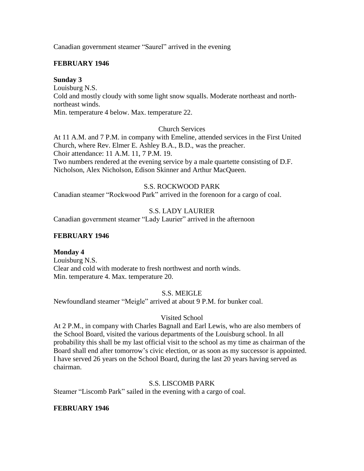Canadian government steamer "Saurel" arrived in the evening

## **FEBRUARY 1946**

### **Sunday 3**

Louisburg N.S.

Cold and mostly cloudy with some light snow squalls. Moderate northeast and northnortheast winds.

Min. temperature 4 below. Max. temperature 22.

### Church Services

At 11 A.M. and 7 P.M. in company with Emeline, attended services in the First United Church, where Rev. Elmer E. Ashley B.A., B.D., was the preacher. Choir attendance: 11 A.M. 11, 7 P.M. 19.

Two numbers rendered at the evening service by a male quartette consisting of D.F. Nicholson, Alex Nicholson, Edison Skinner and Arthur MacQueen.

## S.S. ROCKWOOD PARK

Canadian steamer "Rockwood Park" arrived in the forenoon for a cargo of coal.

# S.S. LADY LAURIER

Canadian government steamer "Lady Laurier" arrived in the afternoon

### **FEBRUARY 1946**

### **Monday 4**

Louisburg N.S. Clear and cold with moderate to fresh northwest and north winds. Min. temperature 4. Max. temperature 20.

# S.S. MEIGLE

Newfoundland steamer "Meigle" arrived at about 9 P.M. for bunker coal.

# Visited School

At 2 P.M., in company with Charles Bagnall and Earl Lewis, who are also members of the School Board, visited the various departments of the Louisburg school. In all probability this shall be my last official visit to the school as my time as chairman of the Board shall end after tomorrow's civic election, or as soon as my successor is appointed. I have served 26 years on the School Board, during the last 20 years having served as chairman.

### S.S. LISCOMB PARK

Steamer "Liscomb Park" sailed in the evening with a cargo of coal.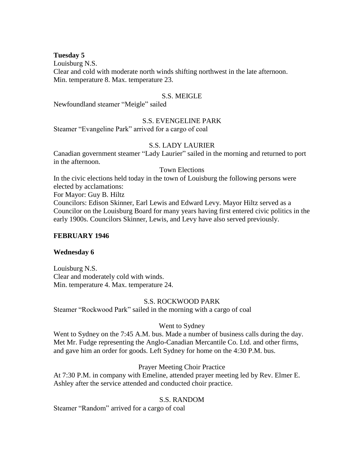#### **Tuesday 5**

Louisburg N.S.

Clear and cold with moderate north winds shifting northwest in the late afternoon. Min. temperature 8. Max. temperature 23.

#### S.S. MEIGLE

Newfoundland steamer "Meigle" sailed

#### S.S. EVENGELINE PARK

Steamer "Evangeline Park" arrived for a cargo of coal

### S.S. LADY LAURIER

Canadian government steamer "Lady Laurier" sailed in the morning and returned to port in the afternoon.

#### Town Elections

In the civic elections held today in the town of Louisburg the following persons were elected by acclamations:

For Mayor: Guy B. Hiltz

Councilors: Edison Skinner, Earl Lewis and Edward Levy. Mayor Hiltz served as a Councilor on the Louisburg Board for many years having first entered civic politics in the early 1900s. Councilors Skinner, Lewis, and Levy have also served previously.

#### **FEBRUARY 1946**

#### **Wednesday 6**

Louisburg N.S. Clear and moderately cold with winds. Min. temperature 4. Max. temperature 24.

#### S.S. ROCKWOOD PARK

Steamer "Rockwood Park" sailed in the morning with a cargo of coal

### Went to Sydney

Went to Sydney on the 7:45 A.M. bus. Made a number of business calls during the day. Met Mr. Fudge representing the Anglo-Canadian Mercantile Co. Ltd. and other firms, and gave him an order for goods. Left Sydney for home on the 4:30 P.M. bus.

### Prayer Meeting Choir Practice

At 7:30 P.M. in company with Emeline, attended prayer meeting led by Rev. Elmer E. Ashley after the service attended and conducted choir practice.

#### S.S. RANDOM

Steamer "Random" arrived for a cargo of coal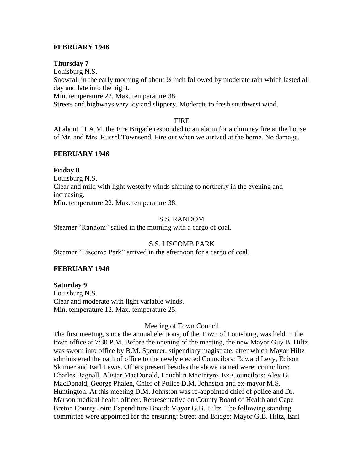### **FEBRUARY 1946**

#### **Thursday 7**

Louisburg N.S.

Snowfall in the early morning of about  $\frac{1}{2}$  inch followed by moderate rain which lasted all day and late into the night.

Min. temperature 22. Max. temperature 38.

Streets and highways very icy and slippery. Moderate to fresh southwest wind.

#### FIRE

At about 11 A.M. the Fire Brigade responded to an alarm for a chimney fire at the house of Mr. and Mrs. Russel Townsend. Fire out when we arrived at the home. No damage.

### **FEBRUARY 1946**

### **Friday 8**

Louisburg N.S. Clear and mild with light westerly winds shifting to northerly in the evening and increasing. Min. temperature 22. Max. temperature 38.

### S.S. RANDOM

Steamer "Random" sailed in the morning with a cargo of coal.

### S.S. LISCOMB PARK

Steamer "Liscomb Park" arrived in the afternoon for a cargo of coal.

### **FEBRUARY 1946**

### **Saturday 9**

Louisburg N.S. Clear and moderate with light variable winds. Min. temperature 12. Max. temperature 25.

### Meeting of Town Council

The first meeting, since the annual elections, of the Town of Louisburg, was held in the town office at 7:30 P.M. Before the opening of the meeting, the new Mayor Guy B. Hiltz, was sworn into office by B.M. Spencer, stipendiary magistrate, after which Mayor Hiltz administered the oath of office to the newly elected Councilors: Edward Levy, Edison Skinner and Earl Lewis. Others present besides the above named were: councilors: Charles Bagnall, Alistar MacDonald, Lauchlin MacIntyre. Ex-Councilors: Alex G. MacDonald, George Phalen, Chief of Police D.M. Johnston and ex-mayor M.S. Huntington. At this meeting D.M. Johnston was re-appointed chief of police and Dr. Marson medical health officer. Representative on County Board of Health and Cape Breton County Joint Expenditure Board: Mayor G.B. Hiltz. The following standing committee were appointed for the ensuring: Street and Bridge: Mayor G.B. Hiltz, Earl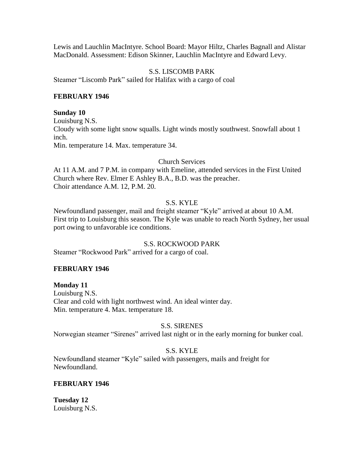Lewis and Lauchlin MacIntyre. School Board: Mayor Hiltz, Charles Bagnall and Alistar MacDonald. Assessment: Edison Skinner, Lauchlin MacIntyre and Edward Levy.

### S.S. LISCOMB PARK

Steamer "Liscomb Park" sailed for Halifax with a cargo of coal

### **FEBRUARY 1946**

#### **Sunday 10**

Louisburg N.S. Cloudy with some light snow squalls. Light winds mostly southwest. Snowfall about 1 inch. Min. temperature 14. Max. temperature 34.

Church Services

At 11 A.M. and 7 P.M. in company with Emeline, attended services in the First United Church where Rev. Elmer E Ashley B.A., B.D. was the preacher. Choir attendance A.M. 12, P.M. 20.

### S.S. KYLE

Newfoundland passenger, mail and freight steamer "Kyle" arrived at about 10 A.M. First trip to Louisburg this season. The Kyle was unable to reach North Sydney, her usual port owing to unfavorable ice conditions.

### S.S. ROCKWOOD PARK

Steamer "Rockwood Park" arrived for a cargo of coal.

### **FEBRUARY 1946**

**Monday 11** Louisburg N.S. Clear and cold with light northwest wind. An ideal winter day. Min. temperature 4. Max. temperature 18.

### S.S. SIRENES

Norwegian steamer "Sirenes" arrived last night or in the early morning for bunker coal.

### S.S. KYLE

Newfoundland steamer "Kyle" sailed with passengers, mails and freight for Newfoundland.

### **FEBRUARY 1946**

**Tuesday 12** Louisburg N.S.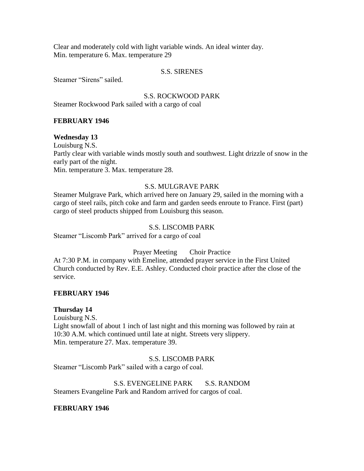Clear and moderately cold with light variable winds. An ideal winter day. Min. temperature 6. Max. temperature 29

#### S.S. SIRENES

Steamer "Sirens" sailed.

S.S. ROCKWOOD PARK Steamer Rockwood Park sailed with a cargo of coal

### **FEBRUARY 1946**

#### **Wednesday 13**

Louisburg N.S. Partly clear with variable winds mostly south and southwest. Light drizzle of snow in the early part of the night. Min. temperature 3. Max. temperature 28.

# S.S. MULGRAVE PARK

Steamer Mulgrave Park, which arrived here on January 29, sailed in the morning with a cargo of steel rails, pitch coke and farm and garden seeds enroute to France. First (part) cargo of steel products shipped from Louisburg this season.

#### S.S. LISCOMB PARK

Steamer "Liscomb Park" arrived for a cargo of coal

Prayer Meeting Choir Practice

At 7:30 P.M. in company with Emeline, attended prayer service in the First United Church conducted by Rev. E.E. Ashley. Conducted choir practice after the close of the service.

#### **FEBRUARY 1946**

#### **Thursday 14**

Louisburg N.S.

Light snowfall of about 1 inch of last night and this morning was followed by rain at 10:30 A.M. which continued until late at night. Streets very slippery. Min. temperature 27. Max. temperature 39.

#### S.S. LISCOMB PARK

Steamer "Liscomb Park" sailed with a cargo of coal.

S.S. EVENGELINE PARK S.S. RANDOM Steamers Evangeline Park and Random arrived for cargos of coal.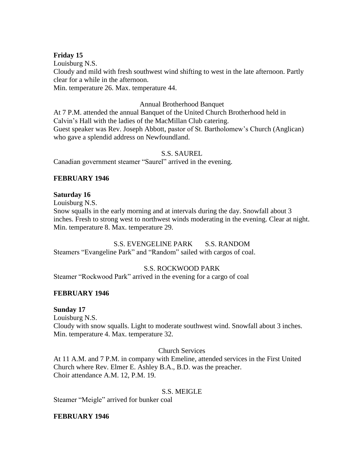## **Friday 15**

Louisburg N.S. Cloudy and mild with fresh southwest wind shifting to west in the late afternoon. Partly clear for a while in the afternoon. Min. temperature 26. Max. temperature 44.

## Annual Brotherhood Banquet

At 7 P.M. attended the annual Banquet of the United Church Brotherhood held in Calvin's Hall with the ladies of the MacMillan Club catering. Guest speaker was Rev. Joseph Abbott, pastor of St. Bartholomew's Church (Anglican) who gave a splendid address on Newfoundland.

## S.S. SAUREL

Canadian government steamer "Saurel" arrived in the evening.

# **FEBRUARY 1946**

## **Saturday 16**

Louisburg N.S.

Snow squalls in the early morning and at intervals during the day. Snowfall about 3 inches. Fresh to strong west to northwest winds moderating in the evening. Clear at night. Min. temperature 8. Max. temperature 29.

# S.S. EVENGELINE PARK S.S. RANDOM

Steamers "Evangeline Park" and "Random" sailed with cargos of coal.

# S.S. ROCKWOOD PARK

Steamer "Rockwood Park" arrived in the evening for a cargo of coal

# **FEBRUARY 1946**

**Sunday 17**

Louisburg N.S. Cloudy with snow squalls. Light to moderate southwest wind. Snowfall about 3 inches. Min. temperature 4. Max. temperature 32.

### Church Services

At 11 A.M. and 7 P.M. in company with Emeline, attended services in the First United Church where Rev. Elmer E. Ashley B.A., B.D. was the preacher. Choir attendance A.M. 12, P.M. 19.

### S.S. MEIGLE

Steamer "Meigle" arrived for bunker coal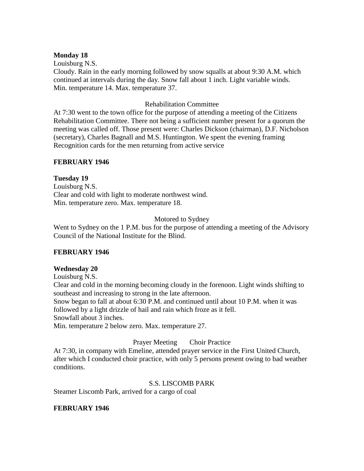### **Monday 18**

Louisburg N.S.

Cloudy. Rain in the early morning followed by snow squalls at about 9:30 A.M. which continued at intervals during the day. Snow fall about 1 inch. Light variable winds. Min. temperature 14. Max. temperature 37.

## Rehabilitation Committee

At 7:30 went to the town office for the purpose of attending a meeting of the Citizens Rehabilitation Committee. There not being a sufficient number present for a quorum the meeting was called off. Those present were: Charles Dickson (chairman), D.F. Nicholson (secretary), Charles Bagnall and M.S. Huntington. We spent the evening framing Recognition cards for the men returning from active service

### **FEBRUARY 1946**

## **Tuesday 19**

Louisburg N.S. Clear and cold with light to moderate northwest wind. Min. temperature zero. Max. temperature 18.

# Motored to Sydney

Went to Sydney on the 1 P.M. bus for the purpose of attending a meeting of the Advisory Council of the National Institute for the Blind.

### **FEBRUARY 1946**

### **Wednesday 20**

Louisburg N.S.

Clear and cold in the morning becoming cloudy in the forenoon. Light winds shifting to southeast and increasing to strong in the late afternoon.

Snow began to fall at about 6:30 P.M. and continued until about 10 P.M. when it was followed by a light drizzle of hail and rain which froze as it fell.

Snowfall about 3 inches.

Min. temperature 2 below zero. Max. temperature 27.

### Prayer Meeting Choir Practice

At 7:30, in company with Emeline, attended prayer service in the First United Church, after which I conducted choir practice, with only 5 persons present owing to bad weather conditions.

### S.S. LISCOMB PARK

Steamer Liscomb Park, arrived for a cargo of coal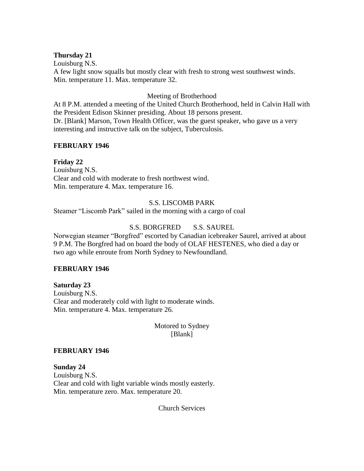### **Thursday 21**

Louisburg N.S. A few light snow squalls but mostly clear with fresh to strong west southwest winds. Min. temperature 11. Max. temperature 32.

## Meeting of Brotherhood

At 8 P.M. attended a meeting of the United Church Brotherhood, held in Calvin Hall with the President Edison Skinner presiding. About 18 persons present. Dr. [Blank] Marson, Town Health Officer, was the guest speaker, who gave us a very interesting and instructive talk on the subject, Tuberculosis.

## **FEBRUARY 1946**

## **Friday 22**

Louisburg N.S. Clear and cold with moderate to fresh northwest wind. Min. temperature 4. Max. temperature 16.

## S.S. LISCOMB PARK

Steamer "Liscomb Park" sailed in the morning with a cargo of coal

# S.S. BORGFRED S.S. SAUREL

Norwegian steamer "Borgfred" escorted by Canadian icebreaker Saurel, arrived at about 9 P.M. The Borgfred had on board the body of OLAF HESTENES, who died a day or two ago while enroute from North Sydney to Newfoundland.

### **FEBRUARY 1946**

**Saturday 23** Louisburg N.S. Clear and moderately cold with light to moderate winds. Min. temperature 4. Max. temperature 26.

> Motored to Sydney [Blank]

### **FEBRUARY 1946**

**Sunday 24** Louisburg N.S. Clear and cold with light variable winds mostly easterly. Min. temperature zero. Max. temperature 20.

Church Services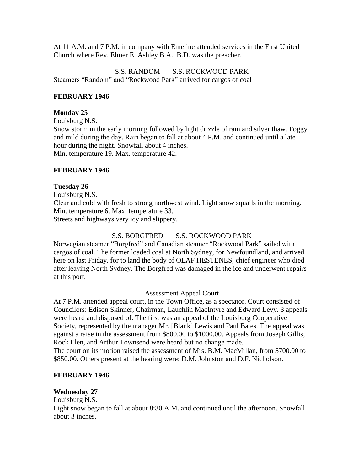At 11 A.M. and 7 P.M. in company with Emeline attended services in the First United Church where Rev. Elmer E. Ashley B.A., B.D. was the preacher.

S.S. RANDOM S.S. ROCKWOOD PARK Steamers "Random" and "Rockwood Park" arrived for cargos of coal

### **FEBRUARY 1946**

### **Monday 25**

Louisburg N.S. Snow storm in the early morning followed by light drizzle of rain and silver thaw. Foggy and mild during the day. Rain began to fall at about 4 P.M. and continued until a late hour during the night. Snowfall about 4 inches. Min. temperature 19. Max. temperature 42.

## **FEBRUARY 1946**

## **Tuesday 26**

Louisburg N.S.

Clear and cold with fresh to strong northwest wind. Light snow squalls in the morning. Min. temperature 6. Max. temperature 33.

Streets and highways very icy and slippery.

# S.S. BORGFRED S.S. ROCKWOOD PARK

Norwegian steamer "Borgfred" and Canadian steamer "Rockwood Park" sailed with cargos of coal. The former loaded coal at North Sydney, for Newfoundland, and arrived here on last Friday, for to land the body of OLAF HESTENES, chief engineer who died after leaving North Sydney. The Borgfred was damaged in the ice and underwent repairs at this port.

### Assessment Appeal Court

At 7 P.M. attended appeal court, in the Town Office, as a spectator. Court consisted of Councilors: Edison Skinner, Chairman, Lauchlin MacIntyre and Edward Levy. 3 appeals were heard and disposed of. The first was an appeal of the Louisburg Cooperative Society, represented by the manager Mr. [Blank] Lewis and Paul Bates. The appeal was against a raise in the assessment from \$800.00 to \$1000.00. Appeals from Joseph Gillis, Rock Elen, and Arthur Townsend were heard but no change made. The court on its motion raised the assessment of Mrs. B.M. MacMillan, from \$700.00 to \$850.00. Others present at the hearing were: D.M. Johnston and D.F. Nicholson.

### **FEBRUARY 1946**

## **Wednesday 27**

Louisburg N.S.

Light snow began to fall at about 8:30 A.M. and continued until the afternoon. Snowfall about 3 inches.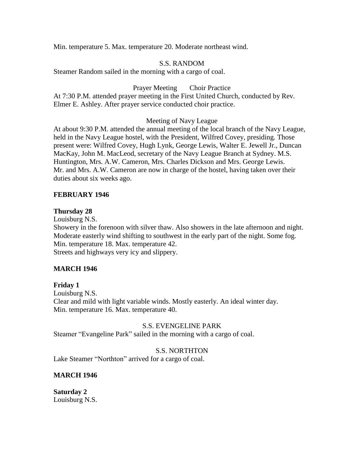Min. temperature 5. Max. temperature 20. Moderate northeast wind.

### S.S. RANDOM

Steamer Random sailed in the morning with a cargo of coal.

## Prayer Meeting Choir Practice

At 7:30 P.M. attended prayer meeting in the First United Church, conducted by Rev. Elmer E. Ashley. After prayer service conducted choir practice.

### Meeting of Navy League

At about 9:30 P.M. attended the annual meeting of the local branch of the Navy League, held in the Navy League hostel, with the President, Wilfred Covey, presiding. Those present were: Wilfred Covey, Hugh Lynk, George Lewis, Walter E. Jewell Jr., Duncan MacKay, John M. MacLeod, secretary of the Navy League Branch at Sydney. M.S. Huntington, Mrs. A.W. Cameron, Mrs. Charles Dickson and Mrs. George Lewis. Mr. and Mrs. A.W. Cameron are now in charge of the hostel, having taken over their duties about six weeks ago.

### **FEBRUARY 1946**

### **Thursday 28**

Louisburg N.S.

Showery in the forenoon with silver thaw. Also showers in the late afternoon and night. Moderate easterly wind shifting to southwest in the early part of the night. Some fog. Min. temperature 18. Max. temperature 42. Streets and highways very icy and slippery.

### **MARCH 1946**

### **Friday 1**

Louisburg N.S. Clear and mild with light variable winds. Mostly easterly. An ideal winter day. Min. temperature 16. Max. temperature 40.

### S.S. EVENGELINE PARK

Steamer "Evangeline Park" sailed in the morning with a cargo of coal.

### S.S. NORTHTON

Lake Steamer "Northton" arrived for a cargo of coal.

### **MARCH 1946**

**Saturday 2** Louisburg N.S.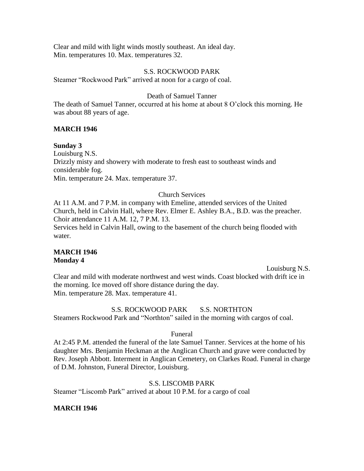Clear and mild with light winds mostly southeast. An ideal day. Min. temperatures 10. Max. temperatures 32.

#### S.S. ROCKWOOD PARK

Steamer "Rockwood Park" arrived at noon for a cargo of coal.

### Death of Samuel Tanner

The death of Samuel Tanner, occurred at his home at about 8 O'clock this morning. He was about 88 years of age.

### **MARCH 1946**

**Sunday 3**

Louisburg N.S. Drizzly misty and showery with moderate to fresh east to southeast winds and considerable fog. Min. temperature 24. Max. temperature 37.

# Church Services

At 11 A.M. and 7 P.M. in company with Emeline, attended services of the United Church, held in Calvin Hall, where Rev. Elmer E. Ashley B.A., B.D. was the preacher. Choir attendance 11 A.M. 12, 7 P.M. 13.

Services held in Calvin Hall, owing to the basement of the church being flooded with water.

### **MARCH 1946 Monday 4**

Louisburg N.S.

Clear and mild with moderate northwest and west winds. Coast blocked with drift ice in the morning. Ice moved off shore distance during the day. Min. temperature 28. Max. temperature 41.

### S.S. ROCKWOOD PARK S.S. NORTHTON

Steamers Rockwood Park and "Northton" sailed in the morning with cargos of coal.

### Funeral

At 2:45 P.M. attended the funeral of the late Samuel Tanner. Services at the home of his daughter Mrs. Benjamin Heckman at the Anglican Church and grave were conducted by Rev. Joseph Abbott. Interment in Anglican Cemetery, on Clarkes Road. Funeral in charge of D.M. Johnston, Funeral Director, Louisburg.

### S.S. LISCOMB PARK

Steamer "Liscomb Park" arrived at about 10 P.M. for a cargo of coal

### **MARCH 1946**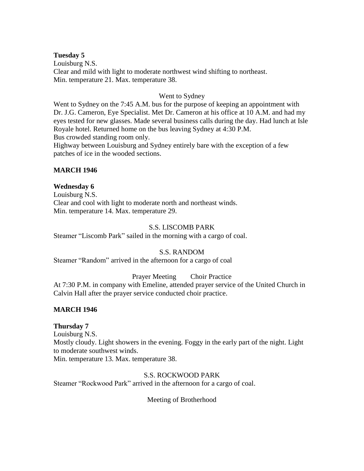### **Tuesday 5**

Louisburg N.S. Clear and mild with light to moderate northwest wind shifting to northeast. Min. temperature 21. Max. temperature 38.

### Went to Sydney

Went to Sydney on the 7:45 A.M. bus for the purpose of keeping an appointment with Dr. J.G. Cameron, Eye Specialist. Met Dr. Cameron at his office at 10 A.M. and had my eyes tested for new glasses. Made several business calls during the day. Had lunch at Isle Royale hotel. Returned home on the bus leaving Sydney at 4:30 P.M. Bus crowded standing room only.

Highway between Louisburg and Sydney entirely bare with the exception of a few patches of ice in the wooded sections.

## **MARCH 1946**

# **Wednesday 6**

Louisburg N.S. Clear and cool with light to moderate north and northeast winds. Min. temperature 14. Max. temperature 29.

## S.S. LISCOMB PARK

Steamer "Liscomb Park" sailed in the morning with a cargo of coal.

# S.S. RANDOM

Steamer "Random" arrived in the afternoon for a cargo of coal

Prayer Meeting Choir Practice

At 7:30 P.M. in company with Emeline, attended prayer service of the United Church in Calvin Hall after the prayer service conducted choir practice.

# **MARCH 1946**

# **Thursday 7**

Louisburg N.S. Mostly cloudy. Light showers in the evening. Foggy in the early part of the night. Light to moderate southwest winds.

Min. temperature 13. Max. temperature 38.

S.S. ROCKWOOD PARK

Steamer "Rockwood Park" arrived in the afternoon for a cargo of coal.

Meeting of Brotherhood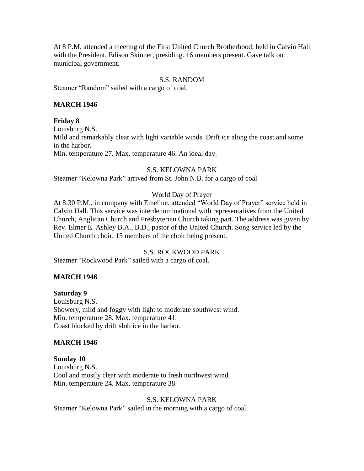At 8 P.M. attended a meeting of the First United Church Brotherhood, held in Calvin Hall with the President, Edison Skinner, presiding. 16 members present. Gave talk on municipal government.

### S.S. RANDOM

Steamer "Random" sailed with a cargo of coal.

## **MARCH 1946**

## **Friday 8**

Louisburg N.S.

Mild and remarkably clear with light variable winds. Drift ice along the coast and some in the harbor.

Min. temperature 27. Max. temperature 46. An ideal day.

### S.S. KELOWNA PARK

Steamer "Kelowna Park" arrived from St. John N.B. for a cargo of coal

## World Day of Prayer

At 8:30 P.M., in company with Emeline, attended "World Day of Prayer" service held in Calvin Hall. This service was interdenominational with representatives from the United Church, Anglican Church and Presbyterian Church taking part. The address was given by Rev. Elmer E. Ashley B.A., B.D., pastor of the United Church. Song service led by the United Church choir, 15 members of the choir being present.

## S.S. ROCKWOOD PARK

Steamer "Rockwood Park" sailed with a cargo of coal.

### **MARCH 1946**

### **Saturday 9**

Louisburg N.S. Showery, mild and foggy with light to moderate southwest wind. Min. temperature 28. Max. temperature 41. Coast blocked by drift slob ice in the harbor.

### **MARCH 1946**

### **Sunday 10**

Louisburg N.S. Cool and mostly clear with moderate to fresh northwest wind. Min. temperature 24. Max. temperature 38.

### S.S. KELOWNA PARK

Steamer "Kelowna Park" sailed in the morning with a cargo of coal.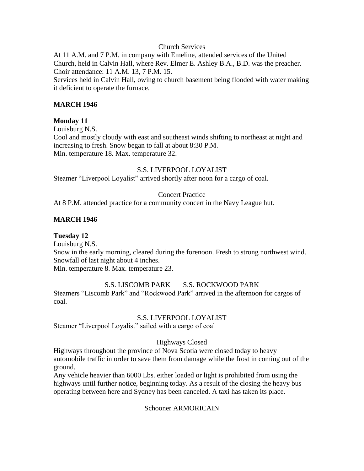### Church Services

At 11 A.M. and 7 P.M. in company with Emeline, attended services of the United Church, held in Calvin Hall, where Rev. Elmer E. Ashley B.A., B.D. was the preacher. Choir attendance: 11 A.M. 13, 7 P.M. 15.

Services held in Calvin Hall, owing to church basement being flooded with water making it deficient to operate the furnace.

### **MARCH 1946**

## **Monday 11**

Louisburg N.S.

Cool and mostly cloudy with east and southeast winds shifting to northeast at night and increasing to fresh. Snow began to fall at about 8:30 P.M. Min. temperature 18. Max. temperature 32.

### S.S. LIVERPOOL LOYALIST

Steamer "Liverpool Loyalist" arrived shortly after noon for a cargo of coal.

### Concert Practice

At 8 P.M. attended practice for a community concert in the Navy League hut.

### **MARCH 1946**

# **Tuesday 12**

Louisburg N.S. Snow in the early morning, cleared during the forenoon. Fresh to strong northwest wind. Snowfall of last night about 4 inches. Min. temperature 8. Max. temperature 23.

S.S. LISCOMB PARK S.S. ROCKWOOD PARK Steamers "Liscomb Park" and "Rockwood Park" arrived in the afternoon for cargos of coal.

### S.S. LIVERPOOL LOYALIST

Steamer "Liverpool Loyalist" sailed with a cargo of coal

### Highways Closed

Highways throughout the province of Nova Scotia were closed today to heavy automobile traffic in order to save them from damage while the frost in coming out of the ground.

Any vehicle heavier than 6000 Lbs. either loaded or light is prohibited from using the highways until further notice, beginning today. As a result of the closing the heavy bus operating between here and Sydney has been canceled. A taxi has taken its place.

Schooner ARMORICAIN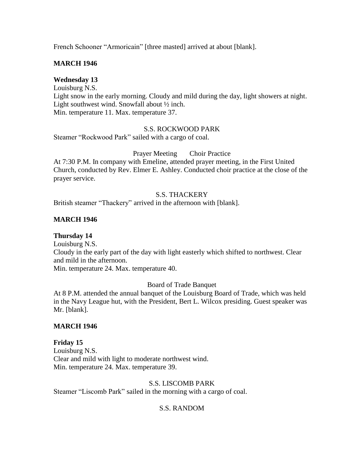French Schooner "Armoricain" [three masted] arrived at about [blank].

### **MARCH 1946**

### **Wednesday 13**

Louisburg N.S.

Light snow in the early morning. Cloudy and mild during the day, light showers at night. Light southwest wind. Snowfall about ½ inch. Min. temperature 11. Max. temperature 37.

#### S.S. ROCKWOOD PARK

Steamer "Rockwood Park" sailed with a cargo of coal.

#### Prayer Meeting Choir Practice

At 7:30 P.M. In company with Emeline, attended prayer meeting, in the First United Church, conducted by Rev. Elmer E. Ashley. Conducted choir practice at the close of the prayer service.

## S.S. THACKERY

British steamer "Thackery" arrived in the afternoon with [blank].

### **MARCH 1946**

### **Thursday 14**

Louisburg N.S. Cloudy in the early part of the day with light easterly which shifted to northwest. Clear and mild in the afternoon. Min. temperature 24. Max. temperature 40.

#### Board of Trade Banquet

At 8 P.M. attended the annual banquet of the Louisburg Board of Trade, which was held in the Navy League hut, with the President, Bert L. Wilcox presiding. Guest speaker was Mr. [blank].

### **MARCH 1946**

### **Friday 15**

Louisburg N.S. Clear and mild with light to moderate northwest wind. Min. temperature 24. Max. temperature 39.

#### S.S. LISCOMB PARK

Steamer "Liscomb Park" sailed in the morning with a cargo of coal.

### S.S. RANDOM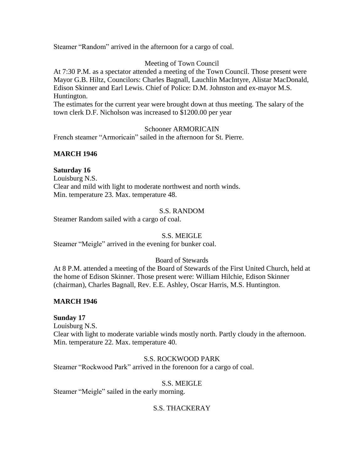Steamer "Random" arrived in the afternoon for a cargo of coal.

## Meeting of Town Council

At 7:30 P.M. as a spectator attended a meeting of the Town Council. Those present were Mayor G.B. Hiltz, Councilors: Charles Bagnall, Lauchlin MacIntyre, Alistar MacDonald, Edison Skinner and Earl Lewis. Chief of Police: D.M. Johnston and ex-mayor M.S. Huntington.

The estimates for the current year were brought down at thus meeting. The salary of the town clerk D.F. Nicholson was increased to \$1200.00 per year

### Schooner ARMORICAIN

French steamer "Armoricain" sailed in the afternoon for St. Pierre.

## **MARCH 1946**

## **Saturday 16**

Louisburg N.S. Clear and mild with light to moderate northwest and north winds. Min. temperature 23. Max. temperature 48.

### S.S. RANDOM

Steamer Random sailed with a cargo of coal.

### S.S. MEIGLE

Steamer "Meigle" arrived in the evening for bunker coal.

### Board of Stewards

At 8 P.M. attended a meeting of the Board of Stewards of the First United Church, held at the home of Edison Skinner. Those present were: William Hilchie, Edison Skinner (chairman), Charles Bagnall, Rev. E.E. Ashley, Oscar Harris, M.S. Huntington.

### **MARCH 1946**

### **Sunday 17**

Louisburg N.S. Clear with light to moderate variable winds mostly north. Partly cloudy in the afternoon. Min. temperature 22. Max. temperature 40.

### S.S. ROCKWOOD PARK

Steamer "Rockwood Park" arrived in the forenoon for a cargo of coal.

### S.S. MEIGLE

Steamer "Meigle" sailed in the early morning.

# S.S. THACKERAY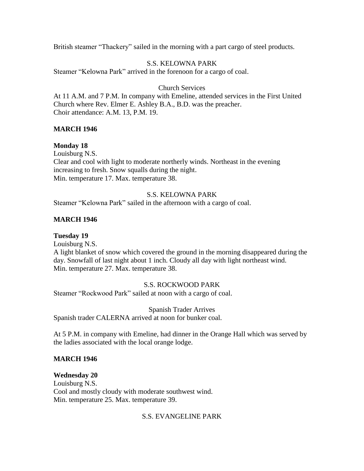British steamer "Thackery" sailed in the morning with a part cargo of steel products.

# S.S. KELOWNA PARK

Steamer "Kelowna Park" arrived in the forenoon for a cargo of coal.

## Church Services

At 11 A.M. and 7 P.M. In company with Emeline, attended services in the First United Church where Rev. Elmer E. Ashley B.A., B.D. was the preacher. Choir attendance: A.M. 13, P.M. 19.

# **MARCH 1946**

# **Monday 18**

Louisburg N.S. Clear and cool with light to moderate northerly winds. Northeast in the evening increasing to fresh. Snow squalls during the night. Min. temperature 17. Max. temperature 38.

## S.S. KELOWNA PARK

Steamer "Kelowna Park" sailed in the afternoon with a cargo of coal.

# **MARCH 1946**

# **Tuesday 19**

Louisburg N.S.

A light blanket of snow which covered the ground in the morning disappeared during the day. Snowfall of last night about 1 inch. Cloudy all day with light northeast wind. Min. temperature 27. Max. temperature 38.

### S.S. ROCKWOOD PARK

Steamer "Rockwood Park" sailed at noon with a cargo of coal.

Spanish Trader Arrives Spanish trader CALERNA arrived at noon for bunker coal.

At 5 P.M. in company with Emeline, had dinner in the Orange Hall which was served by the ladies associated with the local orange lodge.

# **MARCH 1946**

### **Wednesday 20**

Louisburg N.S. Cool and mostly cloudy with moderate southwest wind. Min. temperature 25. Max. temperature 39.

### S.S. EVANGELINE PARK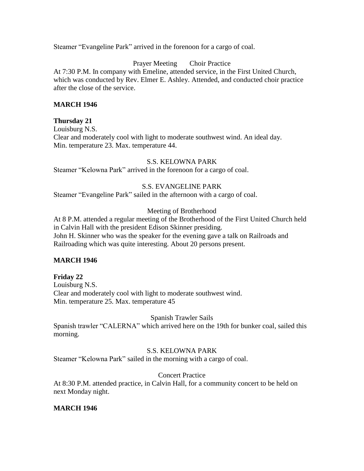Steamer "Evangeline Park" arrived in the forenoon for a cargo of coal.

Prayer Meeting Choir Practice

At 7:30 P.M. In company with Emeline, attended service, in the First United Church, which was conducted by Rev. Elmer E. Ashley. Attended, and conducted choir practice after the close of the service.

## **MARCH 1946**

### **Thursday 21**

Louisburg N.S.

Clear and moderately cool with light to moderate southwest wind. An ideal day. Min. temperature 23. Max. temperature 44.

### S.S. KELOWNA PARK

Steamer "Kelowna Park" arrived in the forenoon for a cargo of coal.

## S.S. EVANGELINE PARK

Steamer "Evangeline Park" sailed in the afternoon with a cargo of coal.

# Meeting of Brotherhood

At 8 P.M. attended a regular meeting of the Brotherhood of the First United Church held in Calvin Hall with the president Edison Skinner presiding. John H. Skinner who was the speaker for the evening gave a talk on Railroads and Railroading which was quite interesting. About 20 persons present.

### **MARCH 1946**

# **Friday 22**

Louisburg N.S. Clear and moderately cool with light to moderate southwest wind. Min. temperature 25. Max. temperature 45

# Spanish Trawler Sails

Spanish trawler "CALERNA" which arrived here on the 19th for bunker coal, sailed this morning.

# S.S. KELOWNA PARK

Steamer "Kelowna Park" sailed in the morning with a cargo of coal.

### Concert Practice

At 8:30 P.M. attended practice, in Calvin Hall, for a community concert to be held on next Monday night.

# **MARCH 1946**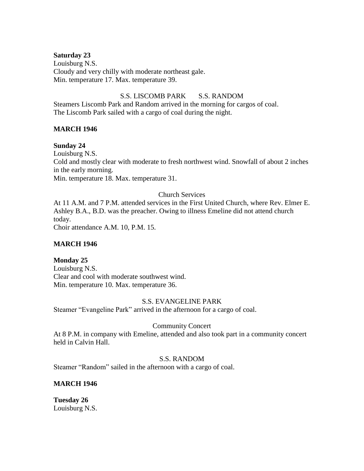### **Saturday 23**

Louisburg N.S. Cloudy and very chilly with moderate northeast gale. Min. temperature 17. Max. temperature 39.

## S.S. LISCOMB PARK S.S. RANDOM

Steamers Liscomb Park and Random arrived in the morning for cargos of coal. The Liscomb Park sailed with a cargo of coal during the night.

## **MARCH 1946**

## **Sunday 24**

Louisburg N.S. Cold and mostly clear with moderate to fresh northwest wind. Snowfall of about 2 inches in the early morning. Min. temperature 18. Max. temperature 31.

# Church Services

At 11 A.M. and 7 P.M. attended services in the First United Church, where Rev. Elmer E. Ashley B.A., B.D. was the preacher. Owing to illness Emeline did not attend church today.

Choir attendance A.M. 10, P.M. 15.

# **MARCH 1946**

### **Monday 25**

Louisburg N.S. Clear and cool with moderate southwest wind. Min. temperature 10. Max. temperature 36.

### S.S. EVANGELINE PARK

Steamer "Evangeline Park" arrived in the afternoon for a cargo of coal.

# Community Concert

At 8 P.M. in company with Emeline, attended and also took part in a community concert held in Calvin Hall.

### S.S. RANDOM

Steamer "Random" sailed in the afternoon with a cargo of coal.

# **MARCH 1946**

**Tuesday 26** Louisburg N.S.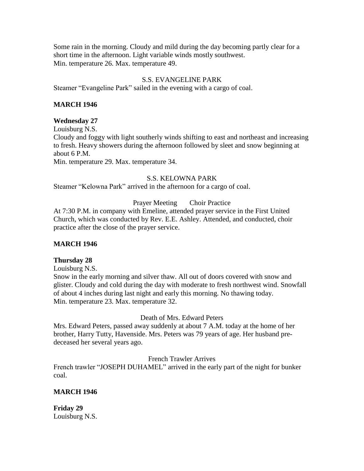Some rain in the morning. Cloudy and mild during the day becoming partly clear for a short time in the afternoon. Light variable winds mostly southwest. Min. temperature 26. Max. temperature 49.

### S.S. EVANGELINE PARK

Steamer "Evangeline Park" sailed in the evening with a cargo of coal.

### **MARCH 1946**

#### **Wednesday 27**

Louisburg N.S. Cloudy and foggy with light southerly winds shifting to east and northeast and increasing to fresh. Heavy showers during the afternoon followed by sleet and snow beginning at about 6 P.M. Min. temperature 29. Max. temperature 34.

S.S. KELOWNA PARK

Steamer "Kelowna Park" arrived in the afternoon for a cargo of coal.

Prayer Meeting Choir Practice

At 7:30 P.M. in company with Emeline, attended prayer service in the First United Church, which was conducted by Rev. E.E. Ashley. Attended, and conducted, choir practice after the close of the prayer service.

### **MARCH 1946**

#### **Thursday 28**

Louisburg N.S.

Snow in the early morning and silver thaw. All out of doors covered with snow and glister. Cloudy and cold during the day with moderate to fresh northwest wind. Snowfall of about 4 inches during last night and early this morning. No thawing today. Min. temperature 23. Max. temperature 32.

Death of Mrs. Edward Peters

Mrs. Edward Peters, passed away suddenly at about 7 A.M. today at the home of her brother, Harry Tutty, Havenside. Mrs. Peters was 79 years of age. Her husband predeceased her several years ago.

French Trawler Arrives

French trawler "JOSEPH DUHAMEL" arrived in the early part of the night for bunker coal.

### **MARCH 1946**

**Friday 29** Louisburg N.S.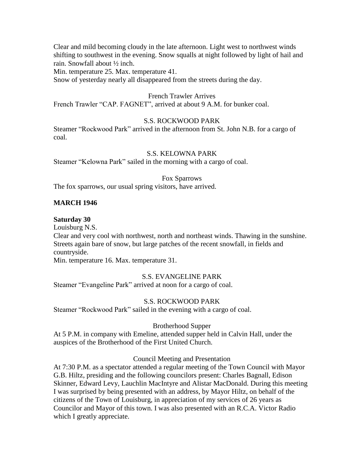Clear and mild becoming cloudy in the late afternoon. Light west to northwest winds shifting to southwest in the evening. Snow squalls at night followed by light of hail and rain. Snowfall about ½ inch.

Min. temperature 25. Max. temperature 41.

Snow of yesterday nearly all disappeared from the streets during the day.

#### French Trawler Arrives

French Trawler "CAP. FAGNET", arrived at about 9 A.M. for bunker coal.

### S.S. ROCKWOOD PARK

Steamer "Rockwood Park" arrived in the afternoon from St. John N.B. for a cargo of coal.

### S.S. KELOWNA PARK

Steamer "Kelowna Park" sailed in the morning with a cargo of coal.

#### Fox Sparrows

The fox sparrows, our usual spring visitors, have arrived.

## **MARCH 1946**

### **Saturday 30**

Louisburg N.S.

Clear and very cool with northwest, north and northeast winds. Thawing in the sunshine. Streets again bare of snow, but large patches of the recent snowfall, in fields and countryside.

Min. temperature 16. Max. temperature 31.

### S.S. EVANGELINE PARK

Steamer "Evangeline Park" arrived at noon for a cargo of coal.

### S.S. ROCKWOOD PARK

Steamer "Rockwood Park" sailed in the evening with a cargo of coal.

### Brotherhood Supper

At 5 P.M. in company with Emeline, attended supper held in Calvin Hall, under the auspices of the Brotherhood of the First United Church.

### Council Meeting and Presentation

At 7:30 P.M. as a spectator attended a regular meeting of the Town Council with Mayor G.B. Hiltz, presiding and the following councilors present: Charles Bagnall, Edison Skinner, Edward Levy, Lauchlin MacIntyre and Alistar MacDonald. During this meeting I was surprised by being presented with an address, by Mayor Hiltz, on behalf of the citizens of the Town of Louisburg, in appreciation of my services of 26 years as Councilor and Mayor of this town. I was also presented with an R.C.A. Victor Radio which I greatly appreciate.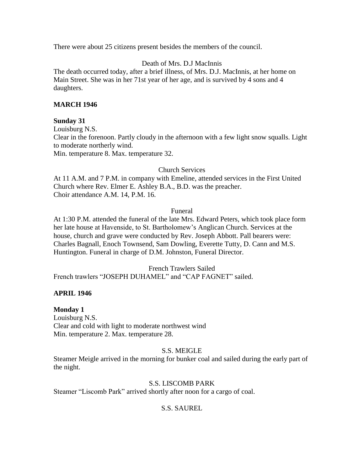There were about 25 citizens present besides the members of the council.

## Death of Mrs. D.J MacInnis

The death occurred today, after a brief illness, of Mrs. D.J. MacInnis, at her home on Main Street. She was in her 71st year of her age, and is survived by 4 sons and 4 daughters.

### **MARCH 1946**

### **Sunday 31**

Louisburg N.S. Clear in the forenoon. Partly cloudy in the afternoon with a few light snow squalls. Light to moderate northerly wind. Min. temperature 8. Max. temperature 32.

### Church Services

At 11 A.M. and 7 P.M. in company with Emeline, attended services in the First United Church where Rev. Elmer E. Ashley B.A., B.D. was the preacher. Choir attendance A.M. 14, P.M. 16.

### Funeral

At 1:30 P.M. attended the funeral of the late Mrs. Edward Peters, which took place form her late house at Havenside, to St. Bartholomew's Anglican Church. Services at the house, church and grave were conducted by Rev. Joseph Abbott. Pall bearers were: Charles Bagnall, Enoch Townsend, Sam Dowling, Everette Tutty, D. Cann and M.S. Huntington. Funeral in charge of D.M. Johnston, Funeral Director.

French Trawlers Sailed

French trawlers "JOSEPH DUHAMEL" and "CAP FAGNET" sailed.

### **APRIL 1946**

# **Monday 1**

Louisburg N.S. Clear and cold with light to moderate northwest wind Min. temperature 2. Max. temperature 28.

# S.S. MEIGLE

Steamer Meigle arrived in the morning for bunker coal and sailed during the early part of the night.

### S.S. LISCOMB PARK

Steamer "Liscomb Park" arrived shortly after noon for a cargo of coal.

# S.S. SAUREL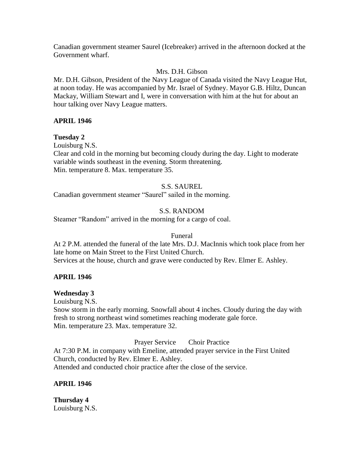Canadian government steamer Saurel (Icebreaker) arrived in the afternoon docked at the Government wharf.

# Mrs. D.H. Gibson

Mr. D.H. Gibson, President of the Navy League of Canada visited the Navy League Hut, at noon today. He was accompanied by Mr. Israel of Sydney. Mayor G.B. Hiltz, Duncan Mackay, William Stewart and I, were in conversation with him at the hut for about an hour talking over Navy League matters.

### **APRIL 1946**

## **Tuesday 2**

Louisburg N.S.

Clear and cold in the morning but becoming cloudy during the day. Light to moderate variable winds southeast in the evening. Storm threatening. Min. temperature 8. Max. temperature 35.

### S.S. SAUREL

Canadian government steamer "Saurel" sailed in the morning.

### S.S. RANDOM

Steamer "Random" arrived in the morning for a cargo of coal.

#### Funeral

At 2 P.M. attended the funeral of the late Mrs. D.J. MacInnis which took place from her late home on Main Street to the First United Church. Services at the house, church and grave were conducted by Rev. Elmer E. Ashley.

### **APRIL 1946**

### **Wednesday 3**

Louisburg N.S.

Snow storm in the early morning. Snowfall about 4 inches. Cloudy during the day with fresh to strong northeast wind sometimes reaching moderate gale force. Min. temperature 23. Max. temperature 32.

Prayer Service Choir Practice

At 7:30 P.M. in company with Emeline, attended prayer service in the First United Church, conducted by Rev. Elmer E. Ashley. Attended and conducted choir practice after the close of the service.

### **APRIL 1946**

**Thursday 4** Louisburg N.S.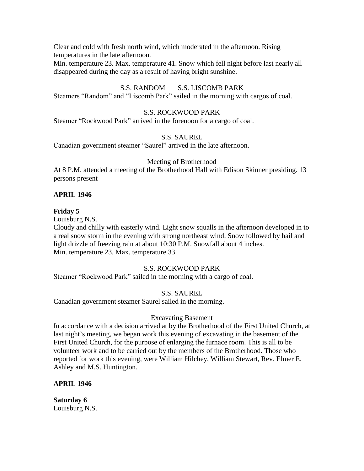Clear and cold with fresh north wind, which moderated in the afternoon. Rising temperatures in the late afternoon.

Min. temperature 23. Max. temperature 41. Snow which fell night before last nearly all disappeared during the day as a result of having bright sunshine.

# S.S. RANDOM S.S. LISCOMB PARK

Steamers "Random" and "Liscomb Park" sailed in the morning with cargos of coal.

## S.S. ROCKWOOD PARK

Steamer "Rockwood Park" arrived in the forenoon for a cargo of coal.

## S.S. SAUREL

Canadian government steamer "Saurel" arrived in the late afternoon.

## Meeting of Brotherhood

At 8 P.M. attended a meeting of the Brotherhood Hall with Edison Skinner presiding. 13 persons present

# **APRIL 1946**

## **Friday 5**

Louisburg N.S.

Cloudy and chilly with easterly wind. Light snow squalls in the afternoon developed in to a real snow storm in the evening with strong northeast wind. Snow followed by hail and light drizzle of freezing rain at about 10:30 P.M. Snowfall about 4 inches. Min. temperature 23. Max. temperature 33.

# S.S. ROCKWOOD PARK

Steamer "Rockwood Park" sailed in the morning with a cargo of coal.

# S.S. SAUREL

Canadian government steamer Saurel sailed in the morning.

# Excavating Basement

In accordance with a decision arrived at by the Brotherhood of the First United Church, at last night's meeting, we began work this evening of excavating in the basement of the First United Church, for the purpose of enlarging the furnace room. This is all to be volunteer work and to be carried out by the members of the Brotherhood. Those who reported for work this evening, were William Hilchey, William Stewart, Rev. Elmer E. Ashley and M.S. Huntington.

# **APRIL 1946**

**Saturday 6** Louisburg N.S.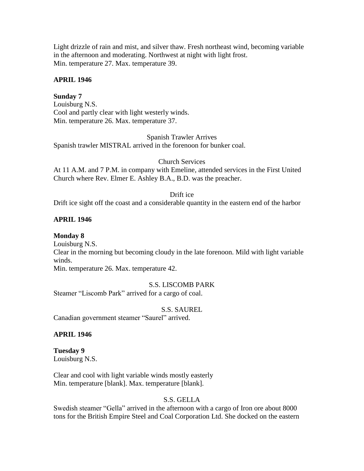Light drizzle of rain and mist, and silver thaw. Fresh northeast wind, becoming variable in the afternoon and moderating. Northwest at night with light frost. Min. temperature 27. Max. temperature 39.

### **APRIL 1946**

### **Sunday 7**

Louisburg N.S. Cool and partly clear with light westerly winds. Min. temperature 26. Max. temperature 37.

Spanish Trawler Arrives Spanish trawler MISTRAL arrived in the forenoon for bunker coal.

### Church Services

At 11 A.M. and 7 P.M. in company with Emeline, attended services in the First United Church where Rev. Elmer E. Ashley B.A., B.D. was the preacher.

### Drift ice

Drift ice sight off the coast and a considerable quantity in the eastern end of the harbor

### **APRIL 1946**

### **Monday 8**

Louisburg N.S. Clear in the morning but becoming cloudy in the late forenoon. Mild with light variable winds. Min. temperature 26. Max. temperature 42.

## S.S. LISCOMB PARK

Steamer "Liscomb Park" arrived for a cargo of coal.

### S.S. SAUREL

Canadian government steamer "Saurel" arrived.

### **APRIL 1946**

#### **Tuesday 9** Louisburg N.S.

Clear and cool with light variable winds mostly easterly Min. temperature [blank]. Max. temperature [blank].

### S.S. GELLA

Swedish steamer "Gella" arrived in the afternoon with a cargo of Iron ore about 8000 tons for the British Empire Steel and Coal Corporation Ltd. She docked on the eastern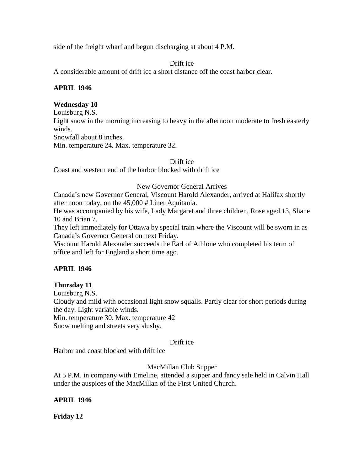side of the freight wharf and begun discharging at about 4 P.M.

### Drift ice

A considerable amount of drift ice a short distance off the coast harbor clear.

#### **APRIL 1946**

#### **Wednesday 10**

Louisburg N.S.

Light snow in the morning increasing to heavy in the afternoon moderate to fresh easterly winds.

Snowfall about 8 inches.

Min. temperature 24. Max. temperature 32.

#### Drift ice

Coast and western end of the harbor blocked with drift ice

### New Governor General Arrives

Canada's new Governor General, Viscount Harold Alexander, arrived at Halifax shortly after noon today, on the 45,000 # Liner Aquitania.

He was accompanied by his wife, Lady Margaret and three children, Rose aged 13, Shane 10 and Brian 7.

They left immediately for Ottawa by special train where the Viscount will be sworn in as Canada's Governor General on next Friday.

Viscount Harold Alexander succeeds the Earl of Athlone who completed his term of office and left for England a short time ago.

### **APRIL 1946**

### **Thursday 11**

Louisburg N.S.

Cloudy and mild with occasional light snow squalls. Partly clear for short periods during the day. Light variable winds.

Min. temperature 30. Max. temperature 42

Snow melting and streets very slushy.

### Drift ice

Harbor and coast blocked with drift ice

MacMillan Club Supper

At 5 P.M. in company with Emeline, attended a supper and fancy sale held in Calvin Hall under the auspices of the MacMillan of the First United Church.

### **APRIL 1946**

**Friday 12**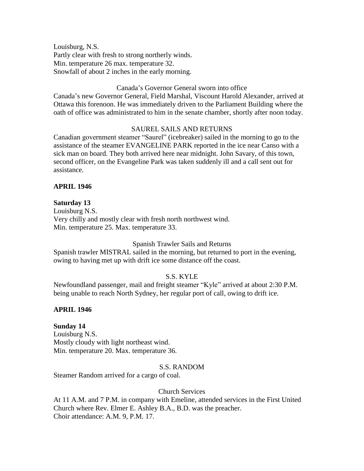Louisburg, N.S. Partly clear with fresh to strong northerly winds. Min. temperature 26 max. temperature 32. Snowfall of about 2 inches in the early morning.

### Canada's Governor General sworn into office

Canada's new Governor General, Field Marshal, Viscount Harold Alexander, arrived at Ottawa this forenoon. He was immediately driven to the Parliament Building where the oath of office was administrated to him in the senate chamber, shortly after noon today.

### SAUREL SAILS AND RETURNS

Canadian government steamer "Saurel" (icebreaker) sailed in the morning to go to the assistance of the steamer EVANGELINE PARK reported in the ice near Canso with a sick man on board. They both arrived here near midnight. John Savary, of this town, second officer, on the Evangeline Park was taken suddenly ill and a call sent out for assistance.

### **APRIL 1946**

#### **Saturday 13**

Louisburg N.S. Very chilly and mostly clear with fresh north northwest wind. Min. temperature 25. Max. temperature 33.

#### Spanish Trawler Sails and Returns

Spanish trawler MISTRAL sailed in the morning, but returned to port in the evening, owing to having met up with drift ice some distance off the coast.

#### S.S. KYLE

Newfoundland passenger, mail and freight steamer "Kyle" arrived at about 2:30 P.M. being unable to reach North Sydney, her regular port of call, owing to drift ice.

#### **APRIL 1946**

#### **Sunday 14**

Louisburg N.S. Mostly cloudy with light northeast wind. Min. temperature 20. Max. temperature 36.

#### S.S. RANDOM

Steamer Random arrived for a cargo of coal.

#### Church Services

At 11 A.M. and 7 P.M. in company with Emeline, attended services in the First United Church where Rev. Elmer E. Ashley B.A., B.D. was the preacher. Choir attendance: A.M. 9, P.M. 17.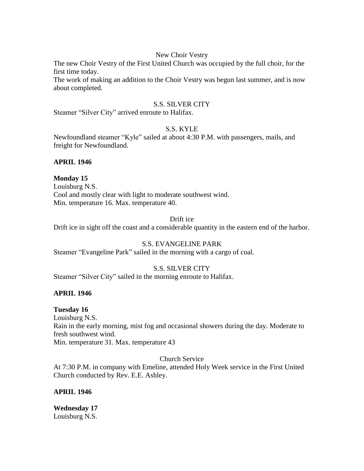#### New Choir Vestry

The new Choir Vestry of the First United Church was occupied by the full choir, for the first time today.

The work of making an addition to the Choir Vestry was begun last summer, and is now about completed.

#### S.S. SILVER CITY

Steamer "Silver City" arrived enroute to Halifax.

#### S.S. KYLE

Newfoundland steamer "Kyle" sailed at about 4:30 P.M. with passengers, mails, and freight for Newfoundland.

#### **APRIL 1946**

**Monday 15** Louisburg N.S. Cool and mostly clear with light to moderate southwest wind. Min. temperature 16. Max. temperature 40.

## Drift ice

Drift ice in sight off the coast and a considerable quantity in the eastern end of the harbor.

### S.S. EVANGELINE PARK

Steamer "Evangeline Park" sailed in the morning with a cargo of coal.

### S.S. SILVER CITY

Steamer "Silver City" sailed in the morning enroute to Halifax.

### **APRIL 1946**

### **Tuesday 16**

Louisburg N.S. Rain in the early morning, mist fog and occasional showers during the day. Moderate to fresh southwest wind. Min. temperature 31. Max. temperature 43

#### Church Service

At 7:30 P.M. in company with Emeline, attended Holy Week service in the First United Church conducted by Rev. E.E. Ashley.

### **APRIL 1946**

**Wednesday 17** Louisburg N.S.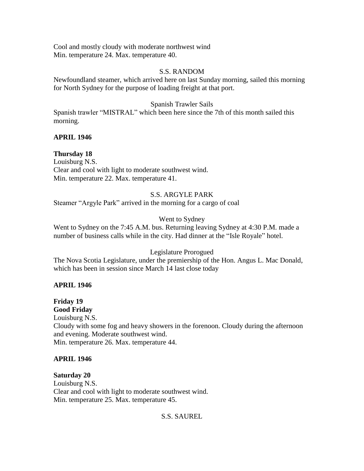Cool and mostly cloudy with moderate northwest wind Min. temperature 24. Max. temperature 40.

## S.S. RANDOM

Newfoundland steamer, which arrived here on last Sunday morning, sailed this morning for North Sydney for the purpose of loading freight at that port.

# Spanish Trawler Sails

Spanish trawler "MISTRAL" which been here since the 7th of this month sailed this morning.

# **APRIL 1946**

**Thursday 18** Louisburg N.S. Clear and cool with light to moderate southwest wind. Min. temperature 22. Max. temperature 41.

# S.S. ARGYLE PARK

Steamer "Argyle Park" arrived in the morning for a cargo of coal

# Went to Sydney

Went to Sydney on the 7:45 A.M. bus. Returning leaving Sydney at 4:30 P.M. made a number of business calls while in the city. Had dinner at the "Isle Royale" hotel.

# Legislature Prorogued

The Nova Scotia Legislature, under the premiership of the Hon. Angus L. Mac Donald, which has been in session since March 14 last close today

# **APRIL 1946**

# **Friday 19**

**Good Friday**

Louisburg N.S. Cloudy with some fog and heavy showers in the forenoon. Cloudy during the afternoon and evening. Moderate southwest wind. Min. temperature 26. Max. temperature 44.

# **APRIL 1946**

# **Saturday 20**

Louisburg N.S. Clear and cool with light to moderate southwest wind. Min. temperature 25. Max. temperature 45.

# S.S. SAUREL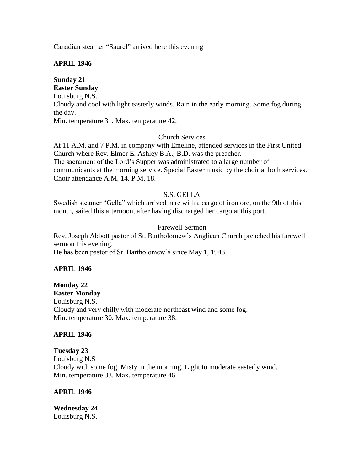Canadian steamer "Saurel" arrived here this evening

## **APRIL 1946**

# **Sunday 21 Easter Sunday**

Louisburg N.S. Cloudy and cool with light easterly winds. Rain in the early morning. Some fog during the day. Min. temperature 31. Max. temperature 42.

## Church Services

At 11 A.M. and 7 P.M. in company with Emeline, attended services in the First United Church where Rev. Elmer E. Ashley B.A., B.D. was the preacher. The sacrament of the Lord's Supper was administrated to a large number of communicants at the morning service. Special Easter music by the choir at both services. Choir attendance A.M. 14, P.M. 18.

## S.S. GELLA

Swedish steamer "Gella" which arrived here with a cargo of iron ore, on the 9th of this month, sailed this afternoon, after having discharged her cargo at this port.

## Farewell Sermon

Rev. Joseph Abbott pastor of St. Bartholomew's Anglican Church preached his farewell sermon this evening. He has been pastor of St. Bartholomew's since May 1, 1943.

### **APRIL 1946**

**Monday 22 Easter Monday** Louisburg N.S. Cloudy and very chilly with moderate northeast wind and some fog. Min. temperature 30. Max. temperature 38.

### **APRIL 1946**

**Tuesday 23** Louisburg N.S Cloudy with some fog. Misty in the morning. Light to moderate easterly wind. Min. temperature 33. Max. temperature 46.

### **APRIL 1946**

**Wednesday 24** Louisburg N.S.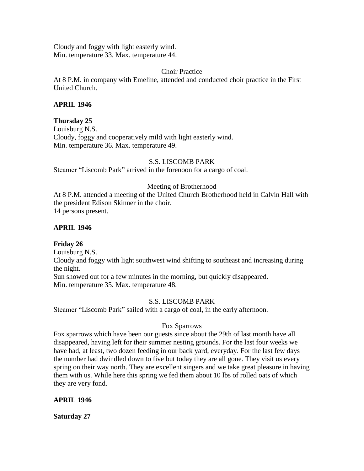Cloudy and foggy with light easterly wind. Min. temperature 33. Max. temperature 44.

Choir Practice

At 8 P.M. in company with Emeline, attended and conducted choir practice in the First United Church.

# **APRIL 1946**

## **Thursday 25**

Louisburg N.S. Cloudy, foggy and cooperatively mild with light easterly wind. Min. temperature 36. Max. temperature 49.

## S.S. LISCOMB PARK

Steamer "Liscomb Park" arrived in the forenoon for a cargo of coal.

## Meeting of Brotherhood

At 8 P.M. attended a meeting of the United Church Brotherhood held in Calvin Hall with the president Edison Skinner in the choir. 14 persons present.

### **APRIL 1946**

# **Friday 26**

Louisburg N.S. Cloudy and foggy with light southwest wind shifting to southeast and increasing during the night. Sun showed out for a few minutes in the morning, but quickly disappeared. Min. temperature 35. Max. temperature 48.

### S.S. LISCOMB PARK

Steamer "Liscomb Park" sailed with a cargo of coal, in the early afternoon.

### Fox Sparrows

Fox sparrows which have been our guests since about the 29th of last month have all disappeared, having left for their summer nesting grounds. For the last four weeks we have had, at least, two dozen feeding in our back yard, everyday. For the last few days the number had dwindled down to five but today they are all gone. They visit us every spring on their way north. They are excellent singers and we take great pleasure in having them with us. While here this spring we fed them about 10 lbs of rolled oats of which they are very fond.

### **APRIL 1946**

**Saturday 27**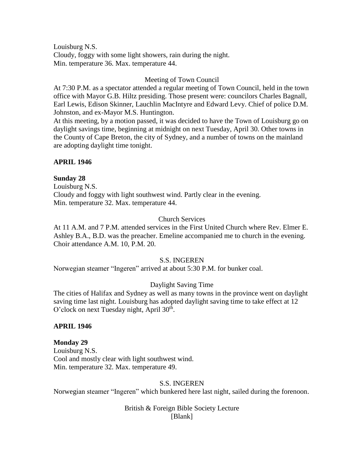Louisburg N.S. Cloudy, foggy with some light showers, rain during the night. Min. temperature 36. Max. temperature 44.

## Meeting of Town Council

At 7:30 P.M. as a spectator attended a regular meeting of Town Council, held in the town office with Mayor G.B. Hiltz presiding. Those present were: councilors Charles Bagnall, Earl Lewis, Edison Skinner, Lauchlin MacIntyre and Edward Levy. Chief of police D.M. Johnston, and ex-Mayor M.S. Huntington.

At this meeting, by a motion passed, it was decided to have the Town of Louisburg go on daylight savings time, beginning at midnight on next Tuesday, April 30. Other towns in the County of Cape Breton, the city of Sydney, and a number of towns on the mainland are adopting daylight time tonight.

### **APRIL 1946**

### **Sunday 28**

Louisburg N.S. Cloudy and foggy with light southwest wind. Partly clear in the evening. Min. temperature 32. Max. temperature 44.

### Church Services

At 11 A.M. and 7 P.M. attended services in the First United Church where Rev. Elmer E. Ashley B.A., B.D. was the preacher. Emeline accompanied me to church in the evening. Choir attendance A.M. 10, P.M. 20.

#### S.S. INGEREN

Norwegian steamer "Ingeren" arrived at about 5:30 P.M. for bunker coal.

# Daylight Saving Time

The cities of Halifax and Sydney as well as many towns in the province went on daylight saving time last night. Louisburg has adopted daylight saving time to take effect at 12 O'clock on next Tuesday night, April  $30<sup>th</sup>$ .

### **APRIL 1946**

### **Monday 29**

Louisburg N.S. Cool and mostly clear with light southwest wind. Min. temperature 32. Max. temperature 49.

#### S.S. INGEREN

Norwegian steamer "Ingeren" which bunkered here last night, sailed during the forenoon.

# British & Foreign Bible Society Lecture [Blank]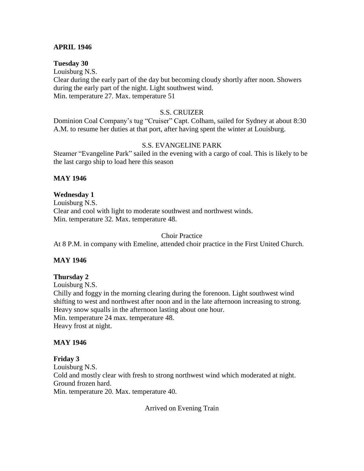#### **APRIL 1946**

**Tuesday 30** Louisburg N.S. Clear during the early part of the day but becoming cloudy shortly after noon. Showers during the early part of the night. Light southwest wind. Min. temperature 27. Max. temperature 51

#### S.S. CRUIZER

Dominion Coal Company's tug "Cruiser" Capt. Colham, sailed for Sydney at about 8:30 A.M. to resume her duties at that port, after having spent the winter at Louisburg.

#### S.S. EVANGELINE PARK

Steamer "Evangeline Park" sailed in the evening with a cargo of coal. This is likely to be the last cargo ship to load here this season

#### **MAY 1946**

#### **Wednesday 1**

Louisburg N.S. Clear and cool with light to moderate southwest and northwest winds. Min. temperature 32. Max. temperature 48.

#### Choir Practice

At 8 P.M. in company with Emeline, attended choir practice in the First United Church.

#### **MAY 1946**

#### **Thursday 2**

Louisburg N.S. Chilly and foggy in the morning clearing during the forenoon. Light southwest wind shifting to west and northwest after noon and in the late afternoon increasing to strong. Heavy snow squalls in the afternoon lasting about one hour. Min. temperature 24 max. temperature 48. Heavy frost at night.

#### **MAY 1946**

### **Friday 3**

Louisburg N.S. Cold and mostly clear with fresh to strong northwest wind which moderated at night. Ground frozen hard. Min. temperature 20. Max. temperature 40.

Arrived on Evening Train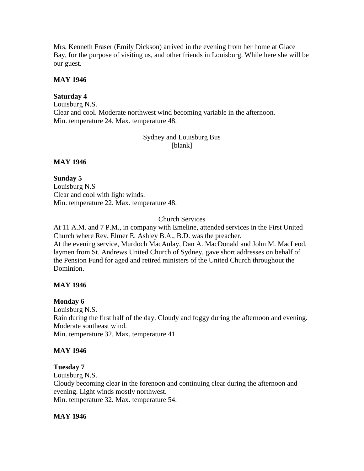Mrs. Kenneth Fraser (Emily Dickson) arrived in the evening from her home at Glace Bay, for the purpose of visiting us, and other friends in Louisburg. While here she will be our guest.

### **MAY 1946**

## **Saturday 4**

Louisburg N.S. Clear and cool. Moderate northwest wind becoming variable in the afternoon. Min. temperature 24. Max. temperature 48.

> Sydney and Louisburg Bus [blank]

## **MAY 1946**

**Sunday 5** Louisburg N.S Clear and cool with light winds. Min. temperature 22. Max. temperature 48.

Church Services

At 11 A.M. and 7 P.M., in company with Emeline, attended services in the First United Church where Rev. Elmer E. Ashley B.A., B.D. was the preacher. At the evening service, Murdoch MacAulay, Dan A. MacDonald and John M. MacLeod, laymen from St. Andrews United Church of Sydney, gave short addresses on behalf of the Pension Fund for aged and retired ministers of the United Church throughout the Dominion.

# **MAY 1946**

### **Monday 6**

Louisburg N.S. Rain during the first half of the day. Cloudy and foggy during the afternoon and evening. Moderate southeast wind. Min. temperature 32. Max. temperature 41.

# **MAY 1946**

### **Tuesday 7**

Louisburg N.S.

Cloudy becoming clear in the forenoon and continuing clear during the afternoon and evening. Light winds mostly northwest.

Min. temperature 32. Max. temperature 54.

### **MAY 1946**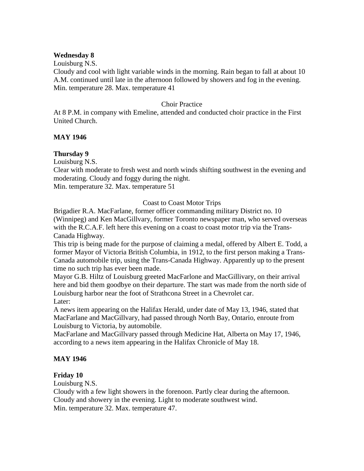#### **Wednesday 8**

Louisburg N.S.

Cloudy and cool with light variable winds in the morning. Rain began to fall at about 10 A.M. continued until late in the afternoon followed by showers and fog in the evening. Min. temperature 28. Max. temperature 41

### Choir Practice

At 8 P.M. in company with Emeline, attended and conducted choir practice in the First United Church.

# **MAY 1946**

# **Thursday 9**

Louisburg N.S.

Clear with moderate to fresh west and north winds shifting southwest in the evening and moderating. Cloudy and foggy during the night.

Min. temperature 32. Max. temperature 51

### Coast to Coast Motor Trips

Brigadier R.A. MacFarlane, former officer commanding military District no. 10 (Winnipeg) and Ken MacGillvary, former Toronto newspaper man, who served overseas with the R.C.A.F. left here this evening on a coast to coast motor trip via the Trans-Canada Highway.

This trip is being made for the purpose of claiming a medal, offered by Albert E. Todd, a former Mayor of Victoria British Columbia, in 1912, to the first person making a Trans-Canada automobile trip, using the Trans-Canada Highway. Apparently up to the present time no such trip has ever been made.

Mayor G.B. Hiltz of Louisburg greeted MacFarlone and MacGillivary, on their arrival here and bid them goodbye on their departure. The start was made from the north side of Louisburg harbor near the foot of Strathcona Street in a Chevrolet car. Later:

A news item appearing on the Halifax Herald, under date of May 13, 1946, stated that MacFarlane and MacGillvary, had passed through North Bay, Ontario, enroute from Louisburg to Victoria, by automobile.

MacFarlane and MacGillvary passed through Medicine Hat, Alberta on May 17, 1946, according to a news item appearing in the Halifax Chronicle of May 18.

### **MAY 1946**

### **Friday 10**

Louisburg N.S.

Cloudy with a few light showers in the forenoon. Partly clear during the afternoon. Cloudy and showery in the evening. Light to moderate southwest wind. Min. temperature 32. Max. temperature 47.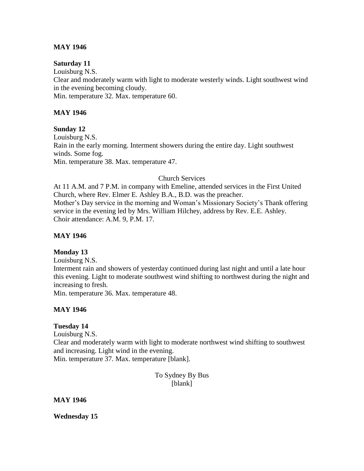## **MAY 1946**

#### **Saturday 11**

Louisburg N.S. Clear and moderately warm with light to moderate westerly winds. Light southwest wind in the evening becoming cloudy. Min. temperature 32. Max. temperature 60.

## **MAY 1946**

### **Sunday 12**

Louisburg N.S. Rain in the early morning. Interment showers during the entire day. Light southwest winds. Some fog. Min. temperature 38. Max. temperature 47.

#### Church Services

At 11 A.M. and 7 P.M. in company with Emeline, attended services in the First United Church, where Rev. Elmer E. Ashley B.A., B.D. was the preacher. Mother's Day service in the morning and Woman's Missionary Society's Thank offering service in the evening led by Mrs. William Hilchey, address by Rev. E.E. Ashley. Choir attendance: A.M. 9, P.M. 17.

#### **MAY 1946**

### **Monday 13**

Louisburg N.S.

Interment rain and showers of yesterday continued during last night and until a late hour this evening. Light to moderate southwest wind shifting to northwest during the night and increasing to fresh.

Min. temperature 36. Max. temperature 48.

### **MAY 1946**

### **Tuesday 14**

Louisburg N.S. Clear and moderately warm with light to moderate northwest wind shifting to southwest and increasing. Light wind in the evening.

Min. temperature 37. Max. temperature [blank].

To Sydney By Bus [blank]

### **MAY 1946**

**Wednesday 15**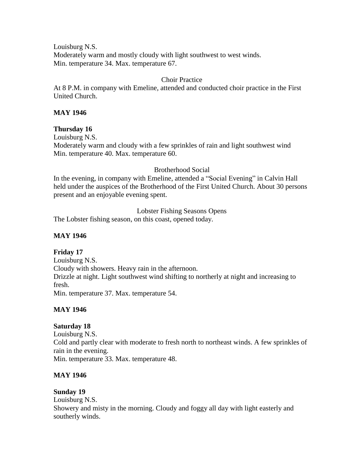Louisburg N.S. Moderately warm and mostly cloudy with light southwest to west winds. Min. temperature 34. Max. temperature 67.

# Choir Practice

At 8 P.M. in company with Emeline, attended and conducted choir practice in the First United Church.

## **MAY 1946**

## **Thursday 16**

Louisburg N.S. Moderately warm and cloudy with a few sprinkles of rain and light southwest wind Min. temperature 40. Max. temperature 60.

## Brotherhood Social

In the evening, in company with Emeline, attended a "Social Evening" in Calvin Hall held under the auspices of the Brotherhood of the First United Church. About 30 persons present and an enjoyable evening spent.

Lobster Fishing Seasons Opens

The Lobster fishing season, on this coast, opened today.

## **MAY 1946**

# **Friday 17**

Louisburg N.S. Cloudy with showers. Heavy rain in the afternoon. Drizzle at night. Light southwest wind shifting to northerly at night and increasing to fresh. Min. temperature 37. Max. temperature 54.

# **MAY 1946**

### **Saturday 18**

Louisburg N.S. Cold and partly clear with moderate to fresh north to northeast winds. A few sprinkles of rain in the evening. Min. temperature 33. Max. temperature 48.

### **MAY 1946**

# **Sunday 19**

Louisburg N.S. Showery and misty in the morning. Cloudy and foggy all day with light easterly and southerly winds.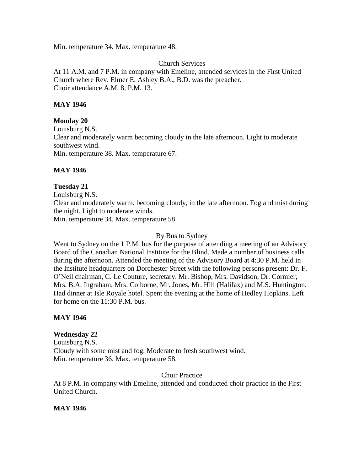Min. temperature 34. Max. temperature 48.

Church Services

At 11 A.M. and 7 P.M. in company with Emeline, attended services in the First United Church where Rev. Elmer E. Ashley B.A., B.D. was the preacher. Choir attendance A.M. 8, P.M. 13.

## **MAY 1946**

## **Monday 20**

Louisburg N.S. Clear and moderately warm becoming cloudy in the late afternoon. Light to moderate southwest wind. Min. temperature 38. Max. temperature 67.

# **MAY 1946**

## **Tuesday 21**

Louisburg N.S.

Clear and moderately warm, becoming cloudy, in the late afternoon. Fog and mist during the night. Light to moderate winds.

Min. temperature 34. Max. temperature 58.

### By Bus to Sydney

Went to Sydney on the 1 P.M. bus for the purpose of attending a meeting of an Advisory Board of the Canadian National Institute for the Blind. Made a number of business calls during the afternoon. Attended the meeting of the Advisory Board at 4:30 P.M. held in the Institute headquarters on Dorchester Street with the following persons present: Dr. F. O'Neil chairman, C. Le Couture, secretary. Mr. Bishop, Mrs. Davidson, Dr. Cormier, Mrs. B.A. Ingraham, Mrs. Colborne, Mr. Jones, Mr. Hill (Halifax) and M.S. Huntington. Had dinner at Isle Royale hotel. Spent the evening at the home of Hedley Hopkins. Left for home on the 11:30 P.M. bus.

### **MAY 1946**

# **Wednesday 22**

Louisburg N.S. Cloudy with some mist and fog. Moderate to fresh southwest wind. Min. temperature 36. Max. temperature 58.

### Choir Practice

At 8 P.M. in company with Emeline, attended and conducted choir practice in the First United Church.

### **MAY 1946**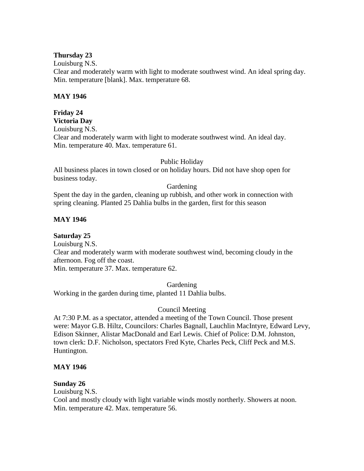### **Thursday 23**

Louisburg N.S.

Clear and moderately warm with light to moderate southwest wind. An ideal spring day. Min. temperature [blank]. Max. temperature 68.

### **MAY 1946**

#### **Friday 24 Victoria Day**

Louisburg N.S.

Clear and moderately warm with light to moderate southwest wind. An ideal day. Min. temperature 40. Max. temperature 61.

## Public Holiday

All business places in town closed or on holiday hours. Did not have shop open for business today.

## Gardening

Spent the day in the garden, cleaning up rubbish, and other work in connection with spring cleaning. Planted 25 Dahlia bulbs in the garden, first for this season

# **MAY 1946**

**Saturday 25**

Louisburg N.S.

Clear and moderately warm with moderate southwest wind, becoming cloudy in the afternoon. Fog off the coast.

Min. temperature 37. Max. temperature 62.

Gardening

Working in the garden during time, planted 11 Dahlia bulbs.

# Council Meeting

At 7:30 P.M. as a spectator, attended a meeting of the Town Council. Those present were: Mayor G.B. Hiltz, Councilors: Charles Bagnall, Lauchlin MacIntyre, Edward Levy, Edison Skinner, Alistar MacDonald and Earl Lewis. Chief of Police: D.M. Johnston, town clerk: D.F. Nicholson, spectators Fred Kyte, Charles Peck, Cliff Peck and M.S. Huntington.

### **MAY 1946**

### **Sunday 26**

Louisburg N.S.

Cool and mostly cloudy with light variable winds mostly northerly. Showers at noon. Min. temperature 42. Max. temperature 56.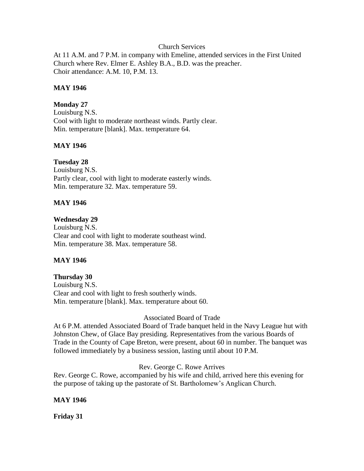#### Church Services

At 11 A.M. and 7 P.M. in company with Emeline, attended services in the First United Church where Rev. Elmer E. Ashley B.A., B.D. was the preacher. Choir attendance: A.M. 10, P.M. 13.

#### **MAY 1946**

### **Monday 27**

Louisburg N.S. Cool with light to moderate northeast winds. Partly clear. Min. temperature [blank]. Max. temperature 64.

## **MAY 1946**

### **Tuesday 28**

Louisburg N.S. Partly clear, cool with light to moderate easterly winds. Min. temperature 32. Max. temperature 59.

## **MAY 1946**

### **Wednesday 29**

Louisburg N.S. Clear and cool with light to moderate southeast wind. Min. temperature 38. Max. temperature 58.

### **MAY 1946**

### **Thursday 30**

Louisburg N.S. Clear and cool with light to fresh southerly winds. Min. temperature [blank]. Max. temperature about 60.

#### Associated Board of Trade

At 6 P.M. attended Associated Board of Trade banquet held in the Navy League hut with Johnston Chew, of Glace Bay presiding. Representatives from the various Boards of Trade in the County of Cape Breton, were present, about 60 in number. The banquet was followed immediately by a business session, lasting until about 10 P.M.

### Rev. George C. Rowe Arrives

Rev. George C. Rowe, accompanied by his wife and child, arrived here this evening for the purpose of taking up the pastorate of St. Bartholomew's Anglican Church.

### **MAY 1946**

**Friday 31**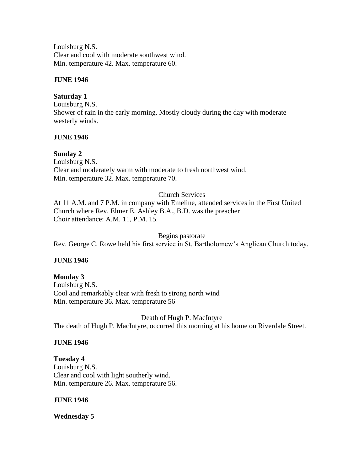Louisburg N.S. Clear and cool with moderate southwest wind. Min. temperature 42. Max. temperature 60.

## **JUNE 1946**

## **Saturday 1**

Louisburg N.S. Shower of rain in the early morning. Mostly cloudy during the day with moderate westerly winds.

## **JUNE 1946**

# **Sunday 2**

Louisburg N.S. Clear and moderately warm with moderate to fresh northwest wind. Min. temperature 32. Max. temperature 70.

# Church Services

At 11 A.M. and 7 P.M. in company with Emeline, attended services in the First United Church where Rev. Elmer E. Ashley B.A., B.D. was the preacher Choir attendance: A.M. 11, P.M. 15.

Begins pastorate

Rev. George C. Rowe held his first service in St. Bartholomew's Anglican Church today.

# **JUNE 1946**

### **Monday 3**

Louisburg N.S. Cool and remarkably clear with fresh to strong north wind Min. temperature 36. Max. temperature 56

Death of Hugh P. MacIntyre The death of Hugh P. MacIntyre, occurred this morning at his home on Riverdale Street.

# **JUNE 1946**

**Tuesday 4** Louisburg N.S. Clear and cool with light southerly wind. Min. temperature 26. Max. temperature 56.

### **JUNE 1946**

**Wednesday 5**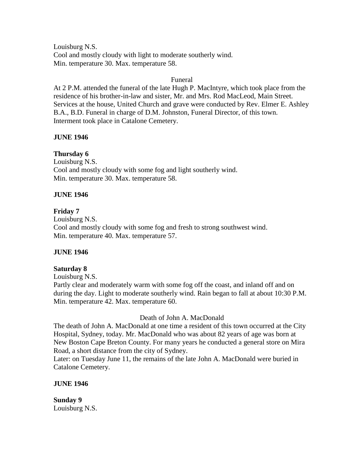Louisburg N.S. Cool and mostly cloudy with light to moderate southerly wind. Min. temperature 30. Max. temperature 58.

### Funeral

At 2 P.M. attended the funeral of the late Hugh P. MacIntyre, which took place from the residence of his brother-in-law and sister, Mr. and Mrs. Rod MacLeod, Main Street. Services at the house, United Church and grave were conducted by Rev. Elmer E. Ashley B.A., B.D. Funeral in charge of D.M. Johnston, Funeral Director, of this town. Interment took place in Catalone Cemetery.

### **JUNE 1946**

# **Thursday 6**

Louisburg N.S. Cool and mostly cloudy with some fog and light southerly wind. Min. temperature 30. Max. temperature 58.

## **JUNE 1946**

### **Friday 7**

Louisburg N.S. Cool and mostly cloudy with some fog and fresh to strong southwest wind. Min. temperature 40. Max. temperature 57.

### **JUNE 1946**

### **Saturday 8**

Louisburg N.S.

Partly clear and moderately warm with some fog off the coast, and inland off and on during the day. Light to moderate southerly wind. Rain began to fall at about 10:30 P.M. Min. temperature 42. Max. temperature 60.

### Death of John A. MacDonald

The death of John A. MacDonald at one time a resident of this town occurred at the City Hospital, Sydney, today. Mr. MacDonald who was about 82 years of age was born at New Boston Cape Breton County. For many years he conducted a general store on Mira Road, a short distance from the city of Sydney.

Later: on Tuesday June 11, the remains of the late John A. MacDonald were buried in Catalone Cemetery.

### **JUNE 1946**

**Sunday 9** Louisburg N.S.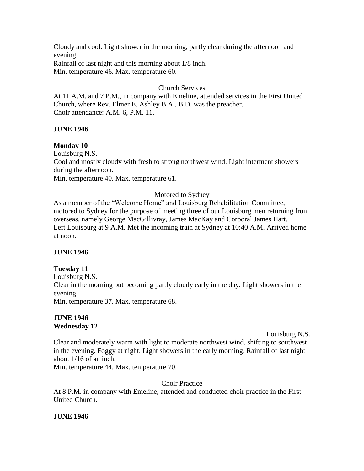Cloudy and cool. Light shower in the morning, partly clear during the afternoon and evening.

Rainfall of last night and this morning about 1/8 inch. Min. temperature 46. Max. temperature 60.

# Church Services

At 11 A.M. and 7 P.M., in company with Emeline, attended services in the First United Church, where Rev. Elmer E. Ashley B.A., B.D. was the preacher. Choir attendance: A.M. 6, P.M. 11.

# **JUNE 1946**

# **Monday 10**

Louisburg N.S.

Cool and mostly cloudy with fresh to strong northwest wind. Light interment showers during the afternoon.

Min. temperature 40. Max. temperature 61.

# Motored to Sydney

As a member of the "Welcome Home" and Louisburg Rehabilitation Committee, motored to Sydney for the purpose of meeting three of our Louisburg men returning from overseas, namely George MacGillivray, James MacKay and Corporal James Hart. Left Louisburg at 9 A.M. Met the incoming train at Sydney at 10:40 A.M. Arrived home at noon.

# **JUNE 1946**

# **Tuesday 11**

Louisburg N.S. Clear in the morning but becoming partly cloudy early in the day. Light showers in the evening. Min. temperature 37. Max. temperature 68.

### **JUNE 1946 Wednesday 12**

Louisburg N.S.

Clear and moderately warm with light to moderate northwest wind, shifting to southwest in the evening. Foggy at night. Light showers in the early morning. Rainfall of last night about 1/16 of an inch.

Min. temperature 44. Max. temperature 70.

Choir Practice

At 8 P.M. in company with Emeline, attended and conducted choir practice in the First United Church.

# **JUNE 1946**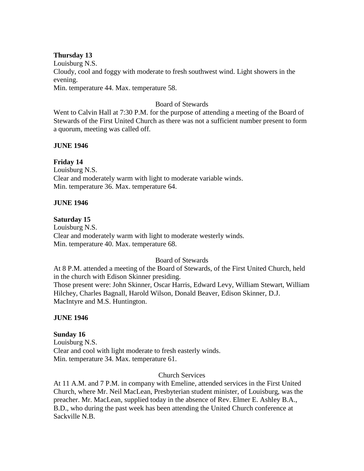#### **Thursday 13**

Louisburg N.S. Cloudy, cool and foggy with moderate to fresh southwest wind. Light showers in the evening. Min. temperature 44. Max. temperature 58.

### Board of Stewards

Went to Calvin Hall at 7:30 P.M. for the purpose of attending a meeting of the Board of Stewards of the First United Church as there was not a sufficient number present to form a quorum, meeting was called off.

### **JUNE 1946**

### **Friday 14**

Louisburg N.S. Clear and moderately warm with light to moderate variable winds. Min. temperature 36. Max. temperature 64.

#### **JUNE 1946**

#### **Saturday 15**

Louisburg N.S. Clear and moderately warm with light to moderate westerly winds. Min. temperature 40. Max. temperature 68.

#### Board of Stewards

At 8 P.M. attended a meeting of the Board of Stewards, of the First United Church, held in the church with Edison Skinner presiding. Those present were: John Skinner, Oscar Harris, Edward Levy, William Stewart, William Hilchey, Charles Bagnall, Harold Wilson, Donald Beaver, Edison Skinner, D.J. MacIntyre and M.S. Huntington.

#### **JUNE 1946**

### **Sunday 16**

Louisburg N.S. Clear and cool with light moderate to fresh easterly winds. Min. temperature 34. Max. temperature 61.

#### Church Services

At 11 A.M. and 7 P.M. in company with Emeline, attended services in the First United Church, where Mr. Neil MacLean, Presbyterian student minister, of Louisburg, was the preacher. Mr. MacLean, supplied today in the absence of Rev. Elmer E. Ashley B.A., B.D., who during the past week has been attending the United Church conference at Sackville N.B.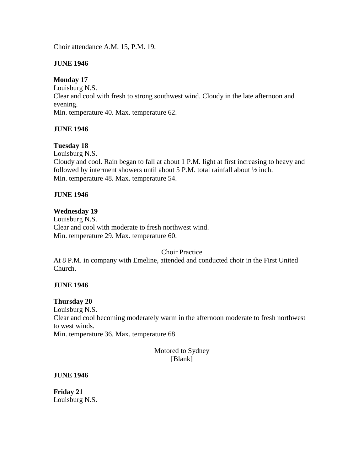Choir attendance A.M. 15, P.M. 19.

## **JUNE 1946**

## **Monday 17**

Louisburg N.S. Clear and cool with fresh to strong southwest wind. Cloudy in the late afternoon and evening. Min. temperature 40. Max. temperature 62.

## **JUNE 1946**

## **Tuesday 18**

Louisburg N.S. Cloudy and cool. Rain began to fall at about 1 P.M. light at first increasing to heavy and followed by interment showers until about 5 P.M. total rainfall about ½ inch. Min. temperature 48. Max. temperature 54.

## **JUNE 1946**

### **Wednesday 19**

Louisburg N.S. Clear and cool with moderate to fresh northwest wind. Min. temperature 29. Max. temperature 60.

### Choir Practice

At 8 P.M. in company with Emeline, attended and conducted choir in the First United Church.

### **JUNE 1946**

### **Thursday 20**

Louisburg N.S. Clear and cool becoming moderately warm in the afternoon moderate to fresh northwest to west winds. Min. temperature 36. Max. temperature 68.

Motored to Sydney [Blank]

### **JUNE 1946**

**Friday 21** Louisburg N.S.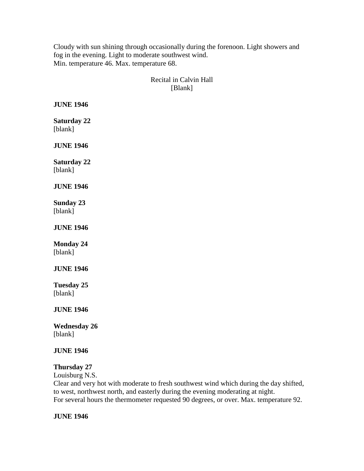Cloudy with sun shining through occasionally during the forenoon. Light showers and fog in the evening. Light to moderate southwest wind. Min. temperature 46. Max. temperature 68.

# Recital in Calvin Hall [Blank]

**JUNE 1946**

**Saturday 22** [blank]

**JUNE 1946**

**Saturday 22** [blank]

# **JUNE 1946**

**Sunday 23** [blank]

**JUNE 1946**

**Monday 24** [blank]

**JUNE 1946**

**Tuesday 25** [blank]

**JUNE 1946**

**Wednesday 26** [blank]

# **JUNE 1946**

# **Thursday 27**

Louisburg N.S.

Clear and very hot with moderate to fresh southwest wind which during the day shifted, to west, northwest north, and easterly during the evening moderating at night. For several hours the thermometer requested 90 degrees, or over. Max. temperature 92.

# **JUNE 1946**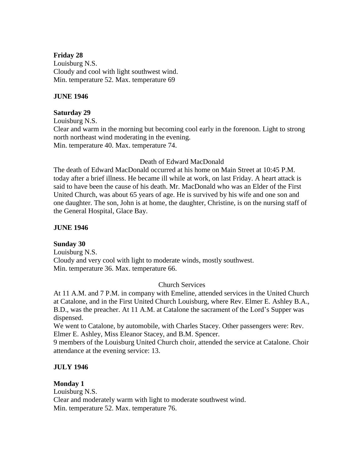### **Friday 28**

Louisburg N.S. Cloudy and cool with light southwest wind. Min. temperature 52. Max. temperature 69

## **JUNE 1946**

## **Saturday 29**

Louisburg N.S. Clear and warm in the morning but becoming cool early in the forenoon. Light to strong north northeast wind moderating in the evening. Min. temperature 40. Max. temperature 74.

### Death of Edward MacDonald

The death of Edward MacDonald occurred at his home on Main Street at 10:45 P.M. today after a brief illness. He became ill while at work, on last Friday. A heart attack is said to have been the cause of his death. Mr. MacDonald who was an Elder of the First United Church, was about 65 years of age. He is survived by his wife and one son and one daughter. The son, John is at home, the daughter, Christine, is on the nursing staff of the General Hospital, Glace Bay.

## **JUNE 1946**

**Sunday 30** Louisburg N.S. Cloudy and very cool with light to moderate winds, mostly southwest. Min. temperature 36. Max. temperature 66.

# Church Services

At 11 A.M. and 7 P.M. in company with Emeline, attended services in the United Church at Catalone, and in the First United Church Louisburg, where Rev. Elmer E. Ashley B.A., B.D., was the preacher. At 11 A.M. at Catalone the sacrament of the Lord's Supper was dispensed.

We went to Catalone, by automobile, with Charles Stacey. Other passengers were: Rev. Elmer E. Ashley, Miss Eleanor Stacey, and B.M. Spencer.

9 members of the Louisburg United Church choir, attended the service at Catalone. Choir attendance at the evening service: 13.

# **JULY 1946**

### **Monday 1**

Louisburg N.S. Clear and moderately warm with light to moderate southwest wind. Min. temperature 52. Max. temperature 76.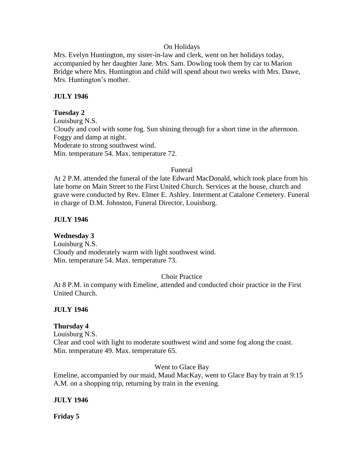### On Holidays

Mrs. Evelyn Huntington, my sister-in-law and clerk, went on her holidays today, accompanied by her daughter Jane. Mrs. Sam. Dowling took them by car to Marion Bridge where Mrs. Huntington and child will spend about two weeks with Mrs. Dawe, Mrs. Huntington's mother.

## **JULY 1946**

## **Tuesday 2**

Louisburg N.S. Cloudy and cool with some fog. Sun shining through for a short time in the afternoon. Foggy and damp at night. Moderate to strong southwest wind. Min. temperature 54. Max. temperature 72.

### Funeral

At 2 P.M. attended the funeral of the late Edward MacDonald, which took place from his late home on Main Street to the First United Church. Services at the house, church and grave were conducted by Rev. Elmer E. Ashley. Interment at Catalone Cemetery. Funeral in charge of D.M. Johnston, Funeral Director, Louisburg.

## **JULY 1946**

**Wednesday 3** Louisburg N.S.

Cloudy and moderately warm with light southwest wind. Min. temperature 54. Max. temperature 73.

# Choir Practice

At 8 P.M. in company with Emeline, attended and conducted choir practice in the First United Church.

# **JULY 1946**

### **Thursday 4**

Louisburg N.S. Clear and cool with light to moderate southwest wind and some fog along the coast. Min. temperature 49. Max. temperature 65.

Went to Glace Bay

Emeline, accompanied by our maid, Maud MacKay, went to Glace Bay by train at 9:15 A.M. on a shopping trip, returning by train in the evening.

### **JULY 1946**

**Friday 5**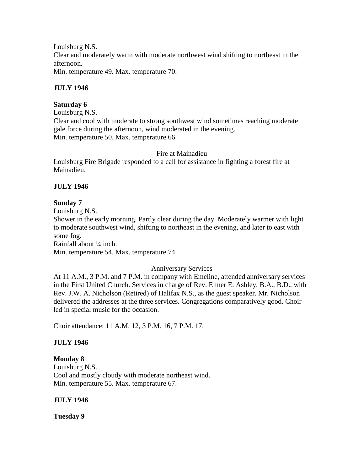Louisburg N.S. Clear and moderately warm with moderate northwest wind shifting to northeast in the afternoon. Min. temperature 49. Max. temperature 70.

**JULY 1946**

### **Saturday 6**

Louisburg N.S. Clear and cool with moderate to strong southwest wind sometimes reaching moderate gale force during the afternoon, wind moderated in the evening. Min. temperature 50. Max. temperature 66

Fire at Mainadieu

Louisburg Fire Brigade responded to a call for assistance in fighting a forest fire at Mainadieu.

# **JULY 1946**

### **Sunday 7**

Louisburg N.S.

Shower in the early morning. Partly clear during the day. Moderately warmer with light to moderate southwest wind, shifting to northeast in the evening, and later to east with some fog.

Rainfall about ¼ inch.

Min. temperature 54. Max. temperature 74.

### Anniversary Services

At 11 A.M., 3 P.M. and 7 P.M. in company with Emeline, attended anniversary services in the First United Church. Services in charge of Rev. Elmer E. Ashley, B.A., B.D., with Rev. J.W. A. Nicholson (Retired) of Halifax N.S., as the guest speaker. Mr. Nicholson delivered the addresses at the three services. Congregations comparatively good. Choir led in special music for the occasion.

Choir attendance: 11 A.M. 12, 3 P.M. 16, 7 P.M. 17.

# **JULY 1946**

### **Monday 8**

Louisburg N.S. Cool and mostly cloudy with moderate northeast wind. Min. temperature 55. Max. temperature 67.

### **JULY 1946**

**Tuesday 9**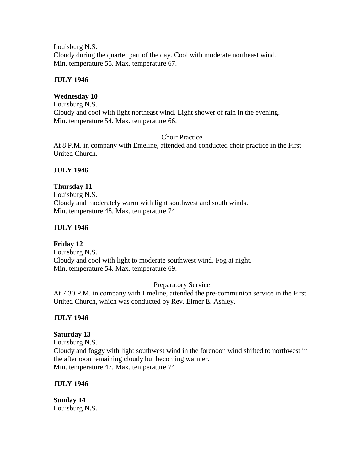Louisburg N.S. Cloudy during the quarter part of the day. Cool with moderate northeast wind. Min. temperature 55. Max. temperature 67.

## **JULY 1946**

### **Wednesday 10**

Louisburg N.S. Cloudy and cool with light northeast wind. Light shower of rain in the evening. Min. temperature 54. Max. temperature 66.

Choir Practice

At 8 P.M. in company with Emeline, attended and conducted choir practice in the First United Church.

## **JULY 1946**

## **Thursday 11**

Louisburg N.S. Cloudy and moderately warm with light southwest and south winds. Min. temperature 48. Max. temperature 74.

### **JULY 1946**

**Friday 12** Louisburg N.S. Cloudy and cool with light to moderate southwest wind. Fog at night. Min. temperature 54. Max. temperature 69.

### Preparatory Service

At 7:30 P.M. in company with Emeline, attended the pre-communion service in the First United Church, which was conducted by Rev. Elmer E. Ashley.

### **JULY 1946**

### **Saturday 13**

Louisburg N.S. Cloudy and foggy with light southwest wind in the forenoon wind shifted to northwest in the afternoon remaining cloudy but becoming warmer. Min. temperature 47. Max. temperature 74.

### **JULY 1946**

**Sunday 14** Louisburg N.S.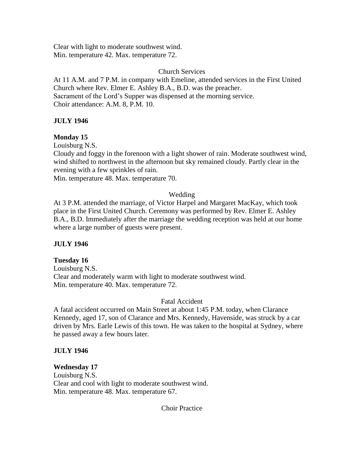Clear with light to moderate southwest wind. Min. temperature 42. Max. temperature 72.

### Church Services

At 11 A.M. and 7 P.M. in company with Emeline, attended services in the First United Church where Rev. Elmer E. Ashley B.A., B.D. was the preacher. Sacrament of the Lord's Supper was dispensed at the morning service. Choir attendance: A.M. 8, P.M. 10.

## **JULY 1946**

# **Monday 15**

Louisburg N.S.

Cloudy and foggy in the forenoon with a light shower of rain. Moderate southwest wind, wind shifted to northwest in the afternoon but sky remained cloudy. Partly clear in the evening with a few sprinkles of rain.

Min. temperature 48. Max. temperature 70.

## Wedding

At 3 P.M. attended the marriage, of Victor Harpel and Margaret MacKay, which took place in the First United Church. Ceremony was performed by Rev. Elmer E. Ashley B.A., B.D. Immediately after the marriage the wedding reception was held at our home where a large number of guests were present.

# **JULY 1946**

### **Tuesday 16**

Louisburg N.S. Clear and moderately warm with light to moderate southwest wind. Min. temperature 40. Max. temperature 72.

### Fatal Accident

A fatal accident occurred on Main Street at about 1:45 P.M. today, when Clarance Kennedy, aged 17, son of Clarance and Mrs. Kennedy, Havenside, was struck by a car driven by Mrs. Earle Lewis of this town. He was taken to the hospital at Sydney, where he passed away a few hours later.

### **JULY 1946**

### **Wednesday 17**

Louisburg N.S. Clear and cool with light to moderate southwest wind. Min. temperature 48. Max. temperature 67.

Choir Practice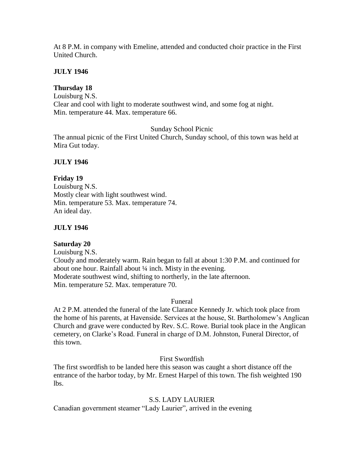At 8 P.M. in company with Emeline, attended and conducted choir practice in the First United Church.

# **JULY 1946**

# **Thursday 18**

Louisburg N.S. Clear and cool with light to moderate southwest wind, and some fog at night. Min. temperature 44. Max. temperature 66.

# Sunday School Picnic

The annual picnic of the First United Church, Sunday school, of this town was held at Mira Gut today.

# **JULY 1946**

# **Friday 19**

Louisburg N.S. Mostly clear with light southwest wind. Min. temperature 53. Max. temperature 74. An ideal day.

# **JULY 1946**

# **Saturday 20**

Louisburg N.S. Cloudy and moderately warm. Rain began to fall at about 1:30 P.M. and continued for about one hour. Rainfall about ¼ inch. Misty in the evening. Moderate southwest wind, shifting to northerly, in the late afternoon. Min. temperature 52. Max. temperature 70.

# Funeral

At 2 P.M. attended the funeral of the late Clarance Kennedy Jr. which took place from the home of his parents, at Havenside. Services at the house, St. Bartholomew's Anglican Church and grave were conducted by Rev. S.C. Rowe. Burial took place in the Anglican cemetery, on Clarke's Road. Funeral in charge of D.M. Johnston, Funeral Director, of this town.

First Swordfish

The first swordfish to be landed here this season was caught a short distance off the entrance of the harbor today, by Mr. Ernest Harpel of this town. The fish weighted 190 lbs.

# S.S. LADY LAURIER

Canadian government steamer "Lady Laurier", arrived in the evening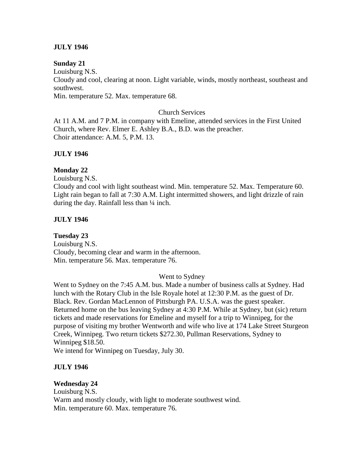## **JULY 1946**

### **Sunday 21**

Louisburg N.S.

Cloudy and cool, clearing at noon. Light variable, winds, mostly northeast, southeast and southwest.

Min. temperature 52. Max. temperature 68.

#### Church Services

At 11 A.M. and 7 P.M. in company with Emeline, attended services in the First United Church, where Rev. Elmer E. Ashley B.A., B.D. was the preacher. Choir attendance: A.M. 5, P.M. 13.

### **JULY 1946**

### **Monday 22**

Louisburg N.S.

Cloudy and cool with light southeast wind. Min. temperature 52. Max. Temperature 60. Light rain began to fall at 7:30 A.M. Light intermitted showers, and light drizzle of rain during the day. Rainfall less than  $\frac{1}{4}$  inch.

### **JULY 1946**

**Tuesday 23** Louisburg N.S. Cloudy, becoming clear and warm in the afternoon. Min. temperature 56. Max. temperature 76.

### Went to Sydney

Went to Sydney on the 7:45 A.M. bus. Made a number of business calls at Sydney. Had lunch with the Rotary Club in the Isle Royale hotel at 12:30 P.M. as the guest of Dr. Black. Rev. Gordan MacLennon of Pittsburgh PA. U.S.A. was the guest speaker. Returned home on the bus leaving Sydney at 4:30 P.M. While at Sydney, but (sic) return tickets and made reservations for Emeline and myself for a trip to Winnipeg, for the purpose of visiting my brother Wentworth and wife who live at 174 Lake Street Sturgeon Creek, Winnipeg. Two return tickets \$272.30, Pullman Reservations, Sydney to Winnipeg \$18.50.

We intend for Winnipeg on Tuesday, July 30.

### **JULY 1946**

### **Wednesday 24**

Louisburg N.S. Warm and mostly cloudy, with light to moderate southwest wind. Min. temperature 60. Max. temperature 76.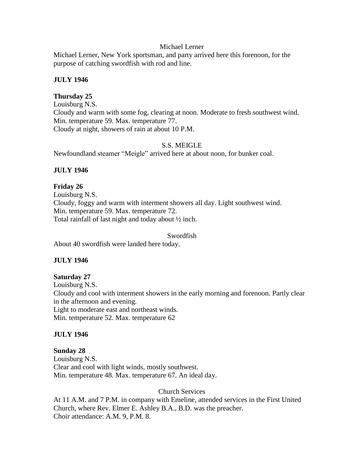#### Michael Lerner

Michael Lerner, New York sportsman, and party arrived here this forenoon, for the purpose of catching swordfish with rod and line.

### **JULY 1946**

### **Thursday 25**

Louisburg N.S. Cloudy and warm with some fog, clearing at noon. Moderate to fresh southwest wind. Min. temperature 59. Max. temperature 77. Cloudy at night, showers of rain at about 10 P.M.

### S.S. MEIGLE

Newfoundland steamer "Meigle" arrived here at about noon, for bunker coal.

### **JULY 1946**

#### **Friday 26**

Louisburg N.S. Cloudy, foggy and warm with interment showers all day. Light southwest wind. Min. temperature 59. Max. temperature 72. Total rainfall of last night and today about ½ inch.

#### Swordfish

About 40 swordfish were landed here today.

### **JULY 1946**

#### **Saturday 27**

Louisburg N.S. Cloudy and cool with interment showers in the early morning and forenoon. Partly clear in the afternoon and evening. Light to moderate east and northeast winds. Min. temperature 52. Max. temperature 62

#### **JULY 1946**

**Sunday 28** Louisburg N.S. Clear and cool with light winds, mostly southwest. Min. temperature 48. Max. temperature 67. An ideal day.

Church Services

At 11 A.M. and 7 P.M. in company with Emeline, attended services in the First United Church, where Rev. Elmer E. Ashley B.A., B.D. was the preacher. Choir attendance: A.M. 9, P.M. 8.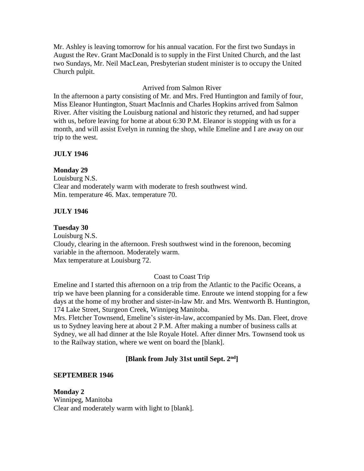Mr. Ashley is leaving tomorrow for his annual vacation. For the first two Sundays in August the Rev. Grant MacDonald is to supply in the First United Church, and the last two Sundays, Mr. Neil MacLean, Presbyterian student minister is to occupy the United Church pulpit.

## Arrived from Salmon River

In the afternoon a party consisting of Mr. and Mrs. Fred Huntington and family of four, Miss Eleanor Huntington, Stuart MacInnis and Charles Hopkins arrived from Salmon River. After visiting the Louisburg national and historic they returned, and had supper with us, before leaving for home at about 6:30 P.M. Eleanor is stopping with us for a month, and will assist Evelyn in running the shop, while Emeline and I are away on our trip to the west.

## **JULY 1946**

## **Monday 29**

Louisburg N.S. Clear and moderately warm with moderate to fresh southwest wind. Min. temperature 46. Max. temperature 70.

## **JULY 1946**

### **Tuesday 30**

Louisburg N.S. Cloudy, clearing in the afternoon. Fresh southwest wind in the forenoon, becoming variable in the afternoon. Moderately warm. Max temperature at Louisburg 72.

### Coast to Coast Trip

Emeline and I started this afternoon on a trip from the Atlantic to the Pacific Oceans, a trip we have been planning for a considerable time. Enroute we intend stopping for a few days at the home of my brother and sister-in-law Mr. and Mrs. Wentworth B. Huntington, 174 Lake Street, Sturgeon Creek, Winnipeg Manitoba.

Mrs. Fletcher Townsend, Emeline's sister-in-law, accompanied by Ms. Dan. Fleet, drove us to Sydney leaving here at about 2 P.M. After making a number of business calls at Sydney, we all had dinner at the Isle Royale Hotel. After dinner Mrs. Townsend took us to the Railway station, where we went on board the [blank].

# **[Blank from July 31st until Sept. 2nd]**

### **SEPTEMBER 1946**

**Monday 2** Winnipeg, Manitoba Clear and moderately warm with light to [blank].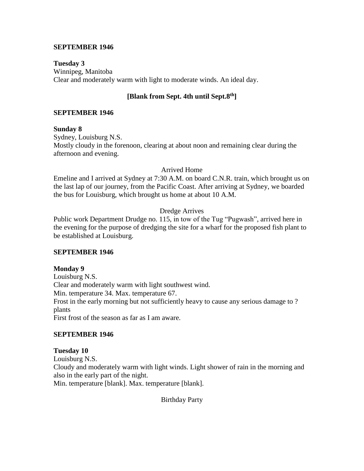#### **SEPTEMBER 1946**

**Tuesday 3** Winnipeg, Manitoba Clear and moderately warm with light to moderate winds. An ideal day.

# **[Blank from Sept. 4th until Sept.8th]**

### **SEPTEMBER 1946**

**Sunday 8** Sydney, Louisburg N.S. Mostly cloudy in the forenoon, clearing at about noon and remaining clear during the afternoon and evening.

#### Arrived Home

Emeline and I arrived at Sydney at 7:30 A.M. on board C.N.R. train, which brought us on the last lap of our journey, from the Pacific Coast. After arriving at Sydney, we boarded the bus for Louisburg, which brought us home at about 10 A.M.

## Dredge Arrives

Public work Department Drudge no. 115, in tow of the Tug "Pugwash", arrived here in the evening for the purpose of dredging the site for a wharf for the proposed fish plant to be established at Louisburg.

### **SEPTEMBER 1946**

### **Monday 9**

Louisburg N.S. Clear and moderately warm with light southwest wind. Min. temperature 34. Max. temperature 67. Frost in the early morning but not sufficiently heavy to cause any serious damage to ? plants First frost of the season as far as I am aware.

### **SEPTEMBER 1946**

**Tuesday 10** Louisburg N.S. Cloudy and moderately warm with light winds. Light shower of rain in the morning and also in the early part of the night. Min. temperature [blank]. Max. temperature [blank].

Birthday Party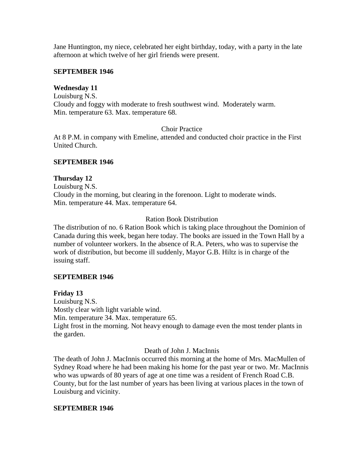Jane Huntington, my niece, celebrated her eight birthday, today, with a party in the late afternoon at which twelve of her girl friends were present.

### **SEPTEMBER 1946**

## **Wednesday 11**

Louisburg N.S. Cloudy and foggy with moderate to fresh southwest wind. Moderately warm. Min. temperature 63. Max. temperature 68.

## Choir Practice

At 8 P.M. in company with Emeline, attended and conducted choir practice in the First United Church.

## **SEPTEMBER 1946**

## **Thursday 12**

Louisburg N.S. Cloudy in the morning, but clearing in the forenoon. Light to moderate winds. Min. temperature 44. Max. temperature 64.

## Ration Book Distribution

The distribution of no. 6 Ration Book which is taking place throughout the Dominion of Canada during this week, began here today. The books are issued in the Town Hall by a number of volunteer workers. In the absence of R.A. Peters, who was to supervise the work of distribution, but become ill suddenly, Mayor G.B. Hiltz is in charge of the issuing staff.

### **SEPTEMBER 1946**

# **Friday 13**

Louisburg N.S. Mostly clear with light variable wind. Min. temperature 34. Max. temperature 65. Light frost in the morning. Not heavy enough to damage even the most tender plants in the garden.

### Death of John J. MacInnis

The death of John J. MacInnis occurred this morning at the home of Mrs. MacMullen of Sydney Road where he had been making his home for the past year or two. Mr. MacInnis who was upwards of 80 years of age at one time was a resident of French Road C.B. County, but for the last number of years has been living at various places in the town of Louisburg and vicinity.

### **SEPTEMBER 1946**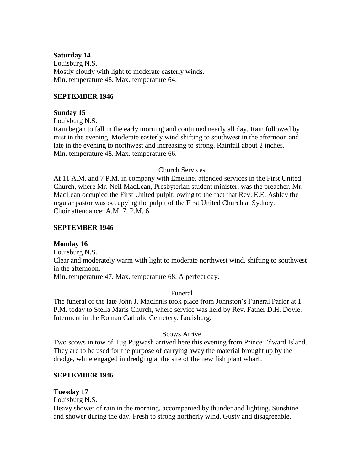### **Saturday 14**

Louisburg N.S. Mostly cloudy with light to moderate easterly winds. Min. temperature 48. Max. temperature 64.

#### **SEPTEMBER 1946**

#### **Sunday 15**

Louisburg N.S.

Rain began to fall in the early morning and continued nearly all day. Rain followed by mist in the evening. Moderate easterly wind shifting to southwest in the afternoon and late in the evening to northwest and increasing to strong. Rainfall about 2 inches. Min. temperature 48. Max. temperature 66.

#### Church Services

At 11 A.M. and 7 P.M. in company with Emeline, attended services in the First United Church, where Mr. Neil MacLean, Presbyterian student minister, was the preacher. Mr. MacLean occupied the First United pulpit, owing to the fact that Rev. E.E. Ashley the regular pastor was occupying the pulpit of the First United Church at Sydney. Choir attendance: A.M. 7, P.M. 6

#### **SEPTEMBER 1946**

### **Monday 16**

Louisburg N.S.

Clear and moderately warm with light to moderate northwest wind, shifting to southwest in the afternoon.

Min. temperature 47. Max. temperature 68. A perfect day.

### Funeral

The funeral of the late John J. MacInnis took place from Johnston's Funeral Parlor at 1 P.M. today to Stella Maris Church, where service was held by Rev. Father D.H. Doyle. Interment in the Roman Catholic Cemetery, Louisburg.

### Scows Arrive

Two scows in tow of Tug Pugwash arrived here this evening from Prince Edward Island. They are to be used for the purpose of carrying away the material brought up by the dredge, while engaged in dredging at the site of the new fish plant wharf.

#### **SEPTEMBER 1946**

## **Tuesday 17**

Louisburg N.S.

Heavy shower of rain in the morning, accompanied by thunder and lighting. Sunshine and shower during the day. Fresh to strong northerly wind. Gusty and disagreeable.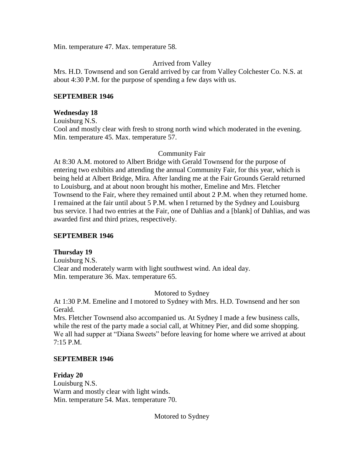Min. temperature 47. Max. temperature 58.

## Arrived from Valley

Mrs. H.D. Townsend and son Gerald arrived by car from Valley Colchester Co. N.S. at about 4:30 P.M. for the purpose of spending a few days with us.

### **SEPTEMBER 1946**

### **Wednesday 18**

Louisburg N.S.

Cool and mostly clear with fresh to strong north wind which moderated in the evening. Min. temperature 45. Max. temperature 57.

### Community Fair

At 8:30 A.M. motored to Albert Bridge with Gerald Townsend for the purpose of entering two exhibits and attending the annual Community Fair, for this year, which is being held at Albert Bridge, Mira. After landing me at the Fair Grounds Gerald returned to Louisburg, and at about noon brought his mother, Emeline and Mrs. Fletcher Townsend to the Fair, where they remained until about 2 P.M. when they returned home. I remained at the fair until about 5 P.M. when I returned by the Sydney and Louisburg bus service. I had two entries at the Fair, one of Dahlias and a [blank] of Dahlias, and was awarded first and third prizes, respectively.

### **SEPTEMBER 1946**

### **Thursday 19**

Louisburg N.S. Clear and moderately warm with light southwest wind. An ideal day. Min. temperature 36. Max. temperature 65.

### Motored to Sydney

At 1:30 P.M. Emeline and I motored to Sydney with Mrs. H.D. Townsend and her son Gerald.

Mrs. Fletcher Townsend also accompanied us. At Sydney I made a few business calls, while the rest of the party made a social call, at Whitney Pier, and did some shopping. We all had supper at "Diana Sweets" before leaving for home where we arrived at about 7:15 P.M.

### **SEPTEMBER 1946**

**Friday 20** Louisburg N.S. Warm and mostly clear with light winds. Min. temperature 54. Max. temperature 70.

Motored to Sydney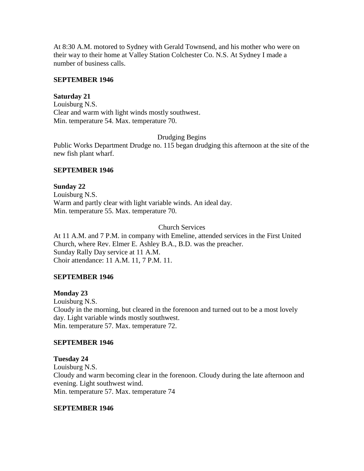At 8:30 A.M. motored to Sydney with Gerald Townsend, and his mother who were on their way to their home at Valley Station Colchester Co. N.S. At Sydney I made a number of business calls.

### **SEPTEMBER 1946**

#### **Saturday 21**

Louisburg N.S. Clear and warm with light winds mostly southwest. Min. temperature 54. Max. temperature 70.

Drudging Begins

Public Works Department Drudge no. 115 began drudging this afternoon at the site of the new fish plant wharf.

#### **SEPTEMBER 1946**

**Sunday 22** Louisburg N.S. Warm and partly clear with light variable winds. An ideal day. Min. temperature 55. Max. temperature 70.

Church Services

At 11 A.M. and 7 P.M. in company with Emeline, attended services in the First United Church, where Rev. Elmer E. Ashley B.A., B.D. was the preacher. Sunday Rally Day service at 11 A.M. Choir attendance: 11 A.M. 11, 7 P.M. 11.

### **SEPTEMBER 1946**

# **Monday 23** Louisburg N.S. Cloudy in the morning, but cleared in the forenoon and turned out to be a most lovely day. Light variable winds mostly southwest. Min. temperature 57. Max. temperature 72.

#### **SEPTEMBER 1946**

**Tuesday 24**

Louisburg N.S. Cloudy and warm becoming clear in the forenoon. Cloudy during the late afternoon and evening. Light southwest wind. Min. temperature 57. Max. temperature 74

### **SEPTEMBER 1946**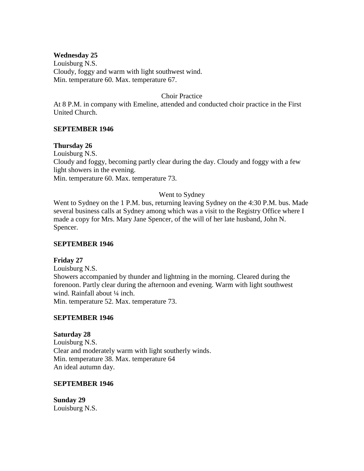### **Wednesday 25**

Louisburg N.S. Cloudy, foggy and warm with light southwest wind. Min. temperature 60. Max. temperature 67.

#### Choir Practice

At 8 P.M. in company with Emeline, attended and conducted choir practice in the First United Church.

### **SEPTEMBER 1946**

### **Thursday 26**

Louisburg N.S. Cloudy and foggy, becoming partly clear during the day. Cloudy and foggy with a few light showers in the evening. Min. temperature 60. Max. temperature 73.

### Went to Sydney

Went to Sydney on the 1 P.M. bus, returning leaving Sydney on the 4:30 P.M. bus. Made several business calls at Sydney among which was a visit to the Registry Office where I made a copy for Mrs. Mary Jane Spencer, of the will of her late husband, John N. Spencer.

### **SEPTEMBER 1946**

### **Friday 27**

Louisburg N.S. Showers accompanied by thunder and lightning in the morning. Cleared during the forenoon. Partly clear during the afternoon and evening. Warm with light southwest wind. Rainfall about 1/4 inch.

Min. temperature 52. Max. temperature 73.

### **SEPTEMBER 1946**

### **Saturday 28**

Louisburg N.S. Clear and moderately warm with light southerly winds. Min. temperature 38. Max. temperature 64 An ideal autumn day.

#### **SEPTEMBER 1946**

**Sunday 29** Louisburg N.S.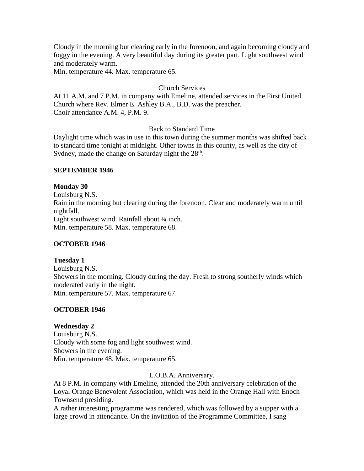Cloudy in the morning but clearing early in the forenoon, and again becoming cloudy and foggy in the evening. A very beautiful day during its greater part. Light southwest wind and moderately warm.

Min. temperature 44. Max. temperature 65.

# Church Services

At 11 A.M. and 7 P.M. in company with Emeline, attended services in the First United Church where Rev. Elmer E. Ashley B.A., B.D. was the preacher. Choir attendance A.M. 4, P.M. 9.

# Back to Standard Time

Daylight time which was in use in this town during the summer months was shifted back to standard time tonight at midnight. Other towns in this county, as well as the city of Sydney, made the change on Saturday night the 28<sup>th</sup>.

### **SEPTEMBER 1946**

## **Monday 30**

Louisburg N.S. Rain in the morning but clearing during the forenoon. Clear and moderately warm until nightfall. Light southwest wind. Rainfall about  $\frac{1}{4}$  inch. Min. temperature 58. Max. temperature 68.

### **OCTOBER 1946**

### **Tuesday 1**

Louisburg N.S. Showers in the morning. Cloudy during the day. Fresh to strong southerly winds which moderated early in the night. Min. temperature 57. Max. temperature 67.

### **OCTOBER 1946**

### **Wednesday 2**

Louisburg N.S. Cloudy with some fog and light southwest wind. Showers in the evening. Min. temperature 48. Max. temperature 65.

### L.O.B.A. Anniversary.

At 8 P.M. in company with Emeline, attended the 20th anniversary celebration of the Loyal Orange Benevolent Association, which was held in the Orange Hall with Enoch Townsend presiding.

A rather interesting programme was rendered, which was followed by a supper with a large crowd in attendance. On the invitation of the Programme Committee, I sang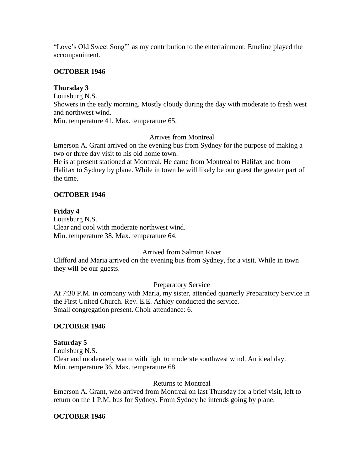"Love's Old Sweet Song"' as my contribution to the entertainment. Emeline played the accompaniment.

# **OCTOBER 1946**

# **Thursday 3**

Louisburg N.S.

Showers in the early morning. Mostly cloudy during the day with moderate to fresh west and northwest wind.

Min. temperature 41. Max. temperature 65.

### Arrives from Montreal

Emerson A. Grant arrived on the evening bus from Sydney for the purpose of making a two or three day visit to his old home town.

He is at present stationed at Montreal. He came from Montreal to Halifax and from Halifax to Sydney by plane. While in town he will likely be our guest the greater part of the time.

### **OCTOBER 1946**

# **Friday 4**

Louisburg N.S. Clear and cool with moderate northwest wind. Min. temperature 38. Max. temperature 64.

# Arrived from Salmon River

Clifford and Maria arrived on the evening bus from Sydney, for a visit. While in town they will be our guests.

# Preparatory Service

At 7:30 P.M. in company with Maria, my sister, attended quarterly Preparatory Service in the First United Church. Rev. E.E. Ashley conducted the service. Small congregation present. Choir attendance: 6.

# **OCTOBER 1946**

#### **Saturday 5**

Louisburg N.S. Clear and moderately warm with light to moderate southwest wind. An ideal day. Min. temperature 36. Max. temperature 68.

#### Returns to Montreal

Emerson A. Grant, who arrived from Montreal on last Thursday for a brief visit, left to return on the 1 P.M. bus for Sydney. From Sydney he intends going by plane.

#### **OCTOBER 1946**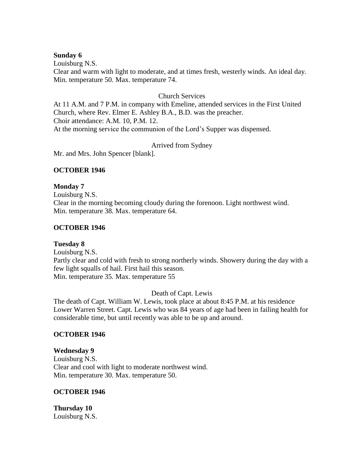#### **Sunday 6**

Louisburg N.S.

Clear and warm with light to moderate, and at times fresh, westerly winds. An ideal day. Min. temperature 50. Max. temperature 74.

#### Church Services

At 11 A.M. and 7 P.M. in company with Emeline, attended services in the First United Church, where Rev. Elmer E. Ashley B.A., B.D. was the preacher. Choir attendance: A.M. 10, P.M. 12. At the morning service the communion of the Lord's Supper was dispensed.

Arrived from Sydney

Mr. and Mrs. John Spencer [blank].

#### **OCTOBER 1946**

#### **Monday 7**

Louisburg N.S. Clear in the morning becoming cloudy during the forenoon. Light northwest wind. Min. temperature 38. Max. temperature 64.

#### **OCTOBER 1946**

#### **Tuesday 8**

Louisburg N.S. Partly clear and cold with fresh to strong northerly winds. Showery during the day with a few light squalls of hail. First hail this season. Min. temperature 35. Max. temperature 55

#### Death of Capt. Lewis

The death of Capt. William W. Lewis, took place at about 8:45 P.M. at his residence Lower Warren Street. Capt. Lewis who was 84 years of age had been in failing health for considerable time, but until recently was able to be up and around.

#### **OCTOBER 1946**

# **Wednesday 9** Louisburg N.S. Clear and cool with light to moderate northwest wind. Min. temperature 30. Max. temperature 50.

#### **OCTOBER 1946**

**Thursday 10** Louisburg N.S.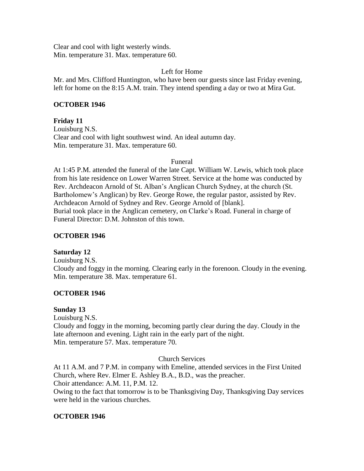Clear and cool with light westerly winds. Min. temperature 31. Max. temperature 60.

# Left for Home

Mr. and Mrs. Clifford Huntington, who have been our guests since last Friday evening, left for home on the 8:15 A.M. train. They intend spending a day or two at Mira Gut.

# **OCTOBER 1946**

### **Friday 11**

Louisburg N.S. Clear and cool with light southwest wind. An ideal autumn day. Min. temperature 31. Max. temperature 60.

#### Funeral

At 1:45 P.M. attended the funeral of the late Capt. William W. Lewis, which took place from his late residence on Lower Warren Street. Service at the home was conducted by Rev. Archdeacon Arnold of St. Alban's Anglican Church Sydney, at the church (St. Bartholomew's Anglican) by Rev. George Rowe, the regular pastor, assisted by Rev. Archdeacon Arnold of Sydney and Rev. George Arnold of [blank]. Burial took place in the Anglican cemetery, on Clarke's Road. Funeral in charge of Funeral Director: D.M. Johnston of this town.

# **OCTOBER 1946**

# **Saturday 12**

Louisburg N.S. Cloudy and foggy in the morning. Clearing early in the forenoon. Cloudy in the evening. Min. temperature 38. Max. temperature 61.

#### **OCTOBER 1946**

# **Sunday 13**

Louisburg N.S. Cloudy and foggy in the morning, becoming partly clear during the day. Cloudy in the late afternoon and evening. Light rain in the early part of the night. Min. temperature 57. Max. temperature 70.

#### Church Services

At 11 A.M. and 7 P.M. in company with Emeline, attended services in the First United Church, where Rev. Elmer E. Ashley B.A., B.D., was the preacher. Choir attendance: A.M. 11, P.M. 12. Owing to the fact that tomorrow is to be Thanksgiving Day, Thanksgiving Day services were held in the various churches.

#### **OCTOBER 1946**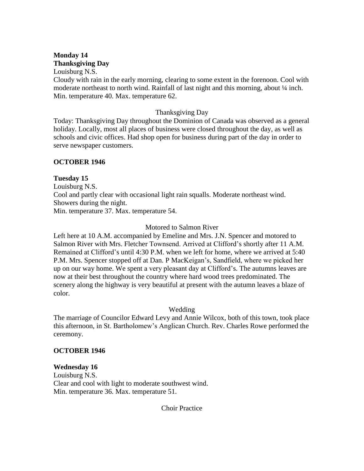# **Monday 14 Thanksgiving Day**

Louisburg N.S.

Cloudy with rain in the early morning, clearing to some extent in the forenoon. Cool with moderate northeast to north wind. Rainfall of last night and this morning, about  $\frac{1}{4}$  inch. Min. temperature 40. Max. temperature 62.

### Thanksgiving Day

Today: Thanksgiving Day throughout the Dominion of Canada was observed as a general holiday. Locally, most all places of business were closed throughout the day, as well as schools and civic offices. Had shop open for business during part of the day in order to serve newspaper customers.

# **OCTOBER 1946**

### **Tuesday 15**

Louisburg N.S. Cool and partly clear with occasional light rain squalls. Moderate northeast wind. Showers during the night.

Min. temperature 37. Max. temperature 54.

### Motored to Salmon River

Left here at 10 A.M. accompanied by Emeline and Mrs. J.N. Spencer and motored to Salmon River with Mrs. Fletcher Townsend. Arrived at Clifford's shortly after 11 A.M. Remained at Clifford's until 4:30 P.M. when we left for home, where we arrived at 5:40 P.M. Mrs. Spencer stopped off at Dan. P MacKeigan's, Sandfield, where we picked her up on our way home. We spent a very pleasant day at Clifford's. The autumns leaves are now at their best throughout the country where hard wood trees predominated. The scenery along the highway is very beautiful at present with the autumn leaves a blaze of color.

# Wedding

The marriage of Councilor Edward Levy and Annie Wilcox, both of this town, took place this afternoon, in St. Bartholomew's Anglican Church. Rev. Charles Rowe performed the ceremony.

### **OCTOBER 1946**

#### **Wednesday 16**

Louisburg N.S. Clear and cool with light to moderate southwest wind. Min. temperature 36. Max. temperature 51.

Choir Practice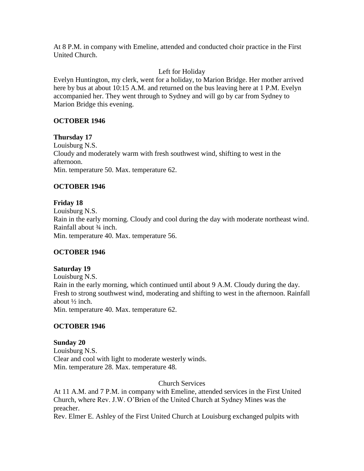At 8 P.M. in company with Emeline, attended and conducted choir practice in the First United Church.

# Left for Holiday

Evelyn Huntington, my clerk, went for a holiday, to Marion Bridge. Her mother arrived here by bus at about 10:15 A.M. and returned on the bus leaving here at 1 P.M. Evelyn accompanied her. They went through to Sydney and will go by car from Sydney to Marion Bridge this evening.

# **OCTOBER 1946**

**Thursday 17** Louisburg N.S. Cloudy and moderately warm with fresh southwest wind, shifting to west in the afternoon. Min. temperature 50. Max. temperature 62.

# **OCTOBER 1946**

# **Friday 18**

Louisburg N.S. Rain in the early morning. Cloudy and cool during the day with moderate northeast wind. Rainfall about ¾ inch. Min. temperature 40. Max. temperature 56.

# **OCTOBER 1946**

# **Saturday 19**

Louisburg N.S. Rain in the early morning, which continued until about 9 A.M. Cloudy during the day. Fresh to strong southwest wind, moderating and shifting to west in the afternoon. Rainfall about ½ inch. Min. temperature 40. Max. temperature 62.

# **OCTOBER 1946**

**Sunday 20** Louisburg N.S. Clear and cool with light to moderate westerly winds. Min. temperature 28. Max. temperature 48.

Church Services

At 11 A.M. and 7 P.M. in company with Emeline, attended services in the First United Church, where Rev. J.W. O'Brien of the United Church at Sydney Mines was the preacher.

Rev. Elmer E. Ashley of the First United Church at Louisburg exchanged pulpits with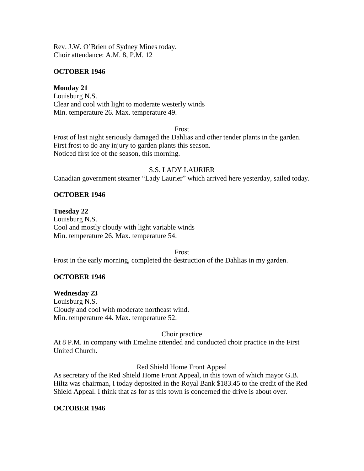Rev. J.W. O'Brien of Sydney Mines today. Choir attendance: A.M. 8, P.M. 12

#### **OCTOBER 1946**

### **Monday 21**

Louisburg N.S. Clear and cool with light to moderate westerly winds Min. temperature 26. Max. temperature 49.

#### Frost

Frost of last night seriously damaged the Dahlias and other tender plants in the garden. First frost to do any injury to garden plants this season. Noticed first ice of the season, this morning.

### S.S. LADY LAURIER

Canadian government steamer "Lady Laurier" which arrived here yesterday, sailed today.

# **OCTOBER 1946**

### **Tuesday 22**

Louisburg N.S. Cool and mostly cloudy with light variable winds Min. temperature 26. Max. temperature 54.

Frost

Frost in the early morning, completed the destruction of the Dahlias in my garden.

# **OCTOBER 1946**

**Wednesday 23** Louisburg N.S. Cloudy and cool with moderate northeast wind. Min. temperature 44. Max. temperature 52.

#### Choir practice

At 8 P.M. in company with Emeline attended and conducted choir practice in the First United Church.

#### Red Shield Home Front Appeal

As secretary of the Red Shield Home Front Appeal, in this town of which mayor G.B. Hiltz was chairman, I today deposited in the Royal Bank \$183.45 to the credit of the Red Shield Appeal. I think that as for as this town is concerned the drive is about over.

# **OCTOBER 1946**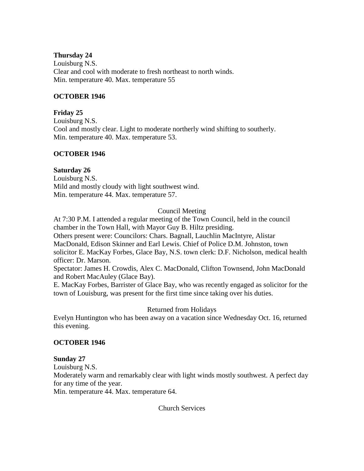#### **Thursday 24**

Louisburg N.S. Clear and cool with moderate to fresh northeast to north winds. Min. temperature 40. Max. temperature 55

### **OCTOBER 1946**

### **Friday 25**

Louisburg N.S. Cool and mostly clear. Light to moderate northerly wind shifting to southerly. Min. temperature 40. Max. temperature 53.

### **OCTOBER 1946**

### **Saturday 26**

Louisburg N.S. Mild and mostly cloudy with light southwest wind. Min. temperature 44. Max. temperature 57.

### Council Meeting

At 7:30 P.M. I attended a regular meeting of the Town Council, held in the council chamber in the Town Hall, with Mayor Guy B. Hiltz presiding.

Others present were: Councilors: Chars. Bagnall, Lauchlin MacIntyre, Alistar MacDonald, Edison Skinner and Earl Lewis. Chief of Police D.M. Johnston, town solicitor E. MacKay Forbes, Glace Bay, N.S. town clerk: D.F. Nicholson, medical health officer: Dr. Marson.

Spectator: James H. Crowdis, Alex C. MacDonald, Clifton Townsend, John MacDonald and Robert MacAuley (Glace Bay).

E. MacKay Forbes, Barrister of Glace Bay, who was recently engaged as solicitor for the town of Louisburg, was present for the first time since taking over his duties.

# Returned from Holidays

Evelyn Huntington who has been away on a vacation since Wednesday Oct. 16, returned this evening.

#### **OCTOBER 1946**

#### **Sunday 27**

Louisburg N.S.

Moderately warm and remarkably clear with light winds mostly southwest. A perfect day for any time of the year.

Min. temperature 44. Max. temperature 64.

#### Church Services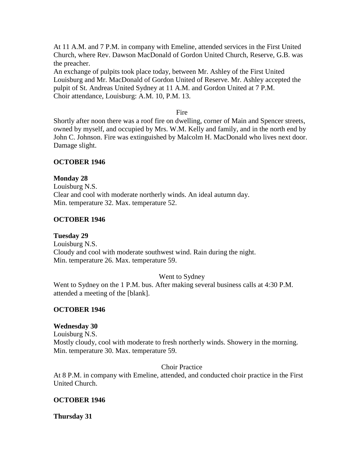At 11 A.M. and 7 P.M. in company with Emeline, attended services in the First United Church, where Rev. Dawson MacDonald of Gordon United Church, Reserve, G.B. was the preacher.

An exchange of pulpits took place today, between Mr. Ashley of the First United Louisburg and Mr. MacDonald of Gordon United of Reserve. Mr. Ashley accepted the pulpit of St. Andreas United Sydney at 11 A.M. and Gordon United at 7 P.M. Choir attendance, Louisburg: A.M. 10, P.M. 13.

Fire

Shortly after noon there was a roof fire on dwelling, corner of Main and Spencer streets, owned by myself, and occupied by Mrs. W.M. Kelly and family, and in the north end by John C. Johnson. Fire was extinguished by Malcolm H. MacDonald who lives next door. Damage slight.

# **OCTOBER 1946**

**Monday 28**

Louisburg N.S. Clear and cool with moderate northerly winds. An ideal autumn day. Min. temperature 32. Max. temperature 52.

### **OCTOBER 1946**

**Tuesday 29**

Louisburg N.S. Cloudy and cool with moderate southwest wind. Rain during the night. Min. temperature 26. Max. temperature 59.

#### Went to Sydney

Went to Sydney on the 1 P.M. bus. After making several business calls at 4:30 P.M. attended a meeting of the [blank].

#### **OCTOBER 1946**

#### **Wednesday 30**

Louisburg N.S. Mostly cloudy, cool with moderate to fresh northerly winds. Showery in the morning. Min. temperature 30. Max. temperature 59.

Choir Practice

At 8 P.M. in company with Emeline, attended, and conducted choir practice in the First United Church.

#### **OCTOBER 1946**

**Thursday 31**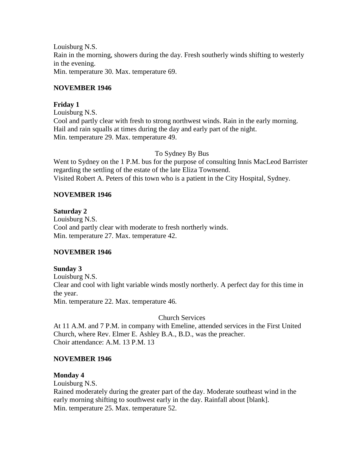Louisburg N.S. Rain in the morning, showers during the day. Fresh southerly winds shifting to westerly in the evening. Min. temperature 30. Max. temperature 69.

#### **NOVEMBER 1946**

### **Friday 1**

Louisburg N.S. Cool and partly clear with fresh to strong northwest winds. Rain in the early morning. Hail and rain squalls at times during the day and early part of the night. Min. temperature 29. Max. temperature 49.

#### To Sydney By Bus

Went to Sydney on the 1 P.M. bus for the purpose of consulting Innis MacLeod Barrister regarding the settling of the estate of the late Eliza Townsend. Visited Robert A. Peters of this town who is a patient in the City Hospital, Sydney.

### **NOVEMBER 1946**

# **Saturday 2**

Louisburg N.S. Cool and partly clear with moderate to fresh northerly winds. Min. temperature 27. Max. temperature 42.

# **NOVEMBER 1946**

# **Sunday 3** Louisburg N.S. Clear and cool with light variable winds mostly northerly. A perfect day for this time in the year. Min. temperature 22. Max. temperature 46.

#### Church Services

At 11 A.M. and 7 P.M. in company with Emeline, attended services in the First United Church, where Rev. Elmer E. Ashley B.A., B.D., was the preacher. Choir attendance: A.M. 13 P.M. 13

#### **NOVEMBER 1946**

# **Monday 4**

Louisburg N.S.

Rained moderately during the greater part of the day. Moderate southeast wind in the early morning shifting to southwest early in the day. Rainfall about [blank]. Min. temperature 25. Max. temperature 52.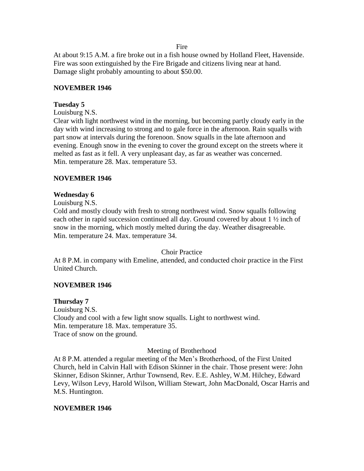Fire

At about 9:15 A.M. a fire broke out in a fish house owned by Holland Fleet, Havenside. Fire was soon extinguished by the Fire Brigade and citizens living near at hand. Damage slight probably amounting to about \$50.00.

#### **NOVEMBER 1946**

#### **Tuesday 5**

Louisburg N.S.

Clear with light northwest wind in the morning, but becoming partly cloudy early in the day with wind increasing to strong and to gale force in the afternoon. Rain squalls with part snow at intervals during the forenoon. Snow squalls in the late afternoon and evening. Enough snow in the evening to cover the ground except on the streets where it melted as fast as it fell. A very unpleasant day, as far as weather was concerned. Min. temperature 28. Max. temperature 53.

#### **NOVEMBER 1946**

#### **Wednesday 6**

Louisburg N.S.

Cold and mostly cloudy with fresh to strong northwest wind. Snow squalls following each other in rapid succession continued all day. Ground covered by about 1 ½ inch of snow in the morning, which mostly melted during the day. Weather disagreeable. Min. temperature 24. Max. temperature 34.

#### Choir Practice

At 8 P.M. in company with Emeline, attended, and conducted choir practice in the First United Church.

#### **NOVEMBER 1946**

#### **Thursday 7**

Louisburg N.S. Cloudy and cool with a few light snow squalls. Light to northwest wind. Min. temperature 18. Max. temperature 35. Trace of snow on the ground.

#### Meeting of Brotherhood

At 8 P.M. attended a regular meeting of the Men's Brotherhood, of the First United Church, held in Calvin Hall with Edison Skinner in the chair. Those present were: John Skinner, Edison Skinner, Arthur Townsend, Rev. E.E. Ashley, W.M. Hilchey, Edward Levy, Wilson Levy, Harold Wilson, William Stewart, John MacDonald, Oscar Harris and M.S. Huntington.

#### **NOVEMBER 1946**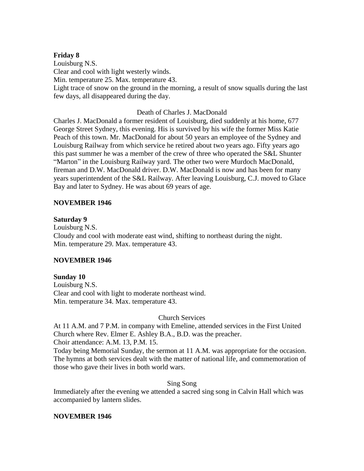#### **Friday 8**

Louisburg N.S. Clear and cool with light westerly winds. Min. temperature 25. Max. temperature 43. Light trace of snow on the ground in the morning, a result of snow squalls during the last few days, all disappeared during the day.

### Death of Charles J. MacDonald

Charles J. MacDonald a former resident of Louisburg, died suddenly at his home, 677 George Street Sydney, this evening. His is survived by his wife the former Miss Katie Peach of this town. Mr. MacDonald for about 50 years an employee of the Sydney and Louisburg Railway from which service he retired about two years ago. Fifty years ago this past summer he was a member of the crew of three who operated the S&L Shunter "Marton" in the Louisburg Railway yard. The other two were Murdoch MacDonald, fireman and D.W. MacDonald driver. D.W. MacDonald is now and has been for many years superintendent of the S&L Railway. After leaving Louisburg, C.J. moved to Glace Bay and later to Sydney. He was about 69 years of age.

### **NOVEMBER 1946**

### **Saturday 9**

Louisburg N.S. Cloudy and cool with moderate east wind, shifting to northeast during the night. Min. temperature 29. Max. temperature 43.

# **NOVEMBER 1946**

# **Sunday 10**

Louisburg N.S. Clear and cool with light to moderate northeast wind. Min. temperature 34. Max. temperature 43.

# Church Services

At 11 A.M. and 7 P.M. in company with Emeline, attended services in the First United Church where Rev. Elmer E. Ashley B.A., B.D. was the preacher. Choir attendance: A.M. 13, P.M. 15.

Today being Memorial Sunday, the sermon at 11 A.M. was appropriate for the occasion. The hymns at both services dealt with the matter of national life, and commemoration of those who gave their lives in both world wars.

# Sing Song

Immediately after the evening we attended a sacred sing song in Calvin Hall which was accompanied by lantern slides.

# **NOVEMBER 1946**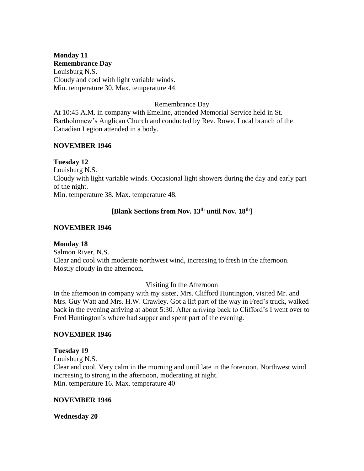# **Monday 11**

**Remembrance Day**

Louisburg N.S. Cloudy and cool with light variable winds. Min. temperature 30. Max. temperature 44.

# Remembrance Day

At 10:45 A.M. in company with Emeline, attended Memorial Service held in St. Bartholomew's Anglican Church and conducted by Rev. Rowe. Local branch of the Canadian Legion attended in a body.

### **NOVEMBER 1946**

# **Tuesday 12**

Louisburg N.S. Cloudy with light variable winds. Occasional light showers during the day and early part of the night. Min. temperature 38. Max. temperature 48.

# **[Blank Sections from Nov. 13th until Nov. 18th]**

### **NOVEMBER 1946**

# **Monday 18**

Salmon River, N.S. Clear and cool with moderate northwest wind, increasing to fresh in the afternoon. Mostly cloudy in the afternoon.

# Visiting In the Afternoon

In the afternoon in company with my sister, Mrs. Clifford Huntington, visited Mr. and Mrs. Guy Watt and Mrs. H.W. Crawley. Got a lift part of the way in Fred's truck, walked back in the evening arriving at about 5:30. After arriving back to Clifford's I went over to Fred Huntington's where had supper and spent part of the evening.

# **NOVEMBER 1946**

# **Tuesday 19**

Louisburg N.S. Clear and cool. Very calm in the morning and until late in the forenoon. Northwest wind increasing to strong in the afternoon, moderating at night. Min. temperature 16. Max. temperature 40

#### **NOVEMBER 1946**

#### **Wednesday 20**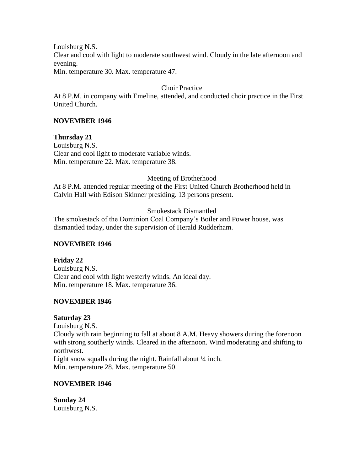Clear and cool with light to moderate southwest wind. Cloudy in the late afternoon and evening.

Min. temperature 30. Max. temperature 47.

# Choir Practice

At 8 P.M. in company with Emeline, attended, and conducted choir practice in the First United Church.

# **NOVEMBER 1946**

**Thursday 21** Louisburg N.S. Clear and cool light to moderate variable winds.

Min. temperature 22. Max. temperature 38.

### Meeting of Brotherhood

At 8 P.M. attended regular meeting of the First United Church Brotherhood held in Calvin Hall with Edison Skinner presiding. 13 persons present.

### Smokestack Dismantled

The smokestack of the Dominion Coal Company's Boiler and Power house, was dismantled today, under the supervision of Herald Rudderham.

#### **NOVEMBER 1946**

# **Friday 22**

Louisburg N.S. Clear and cool with light westerly winds. An ideal day. Min. temperature 18. Max. temperature 36.

# **NOVEMBER 1946**

# **Saturday 23**

Louisburg N.S. Cloudy with rain beginning to fall at about 8 A.M. Heavy showers during the forenoon with strong southerly winds. Cleared in the afternoon. Wind moderating and shifting to northwest. Light snow squalls during the night. Rainfall about  $\frac{1}{4}$  inch.

Min. temperature 28. Max. temperature 50.

# **NOVEMBER 1946**

**Sunday 24** Louisburg N.S.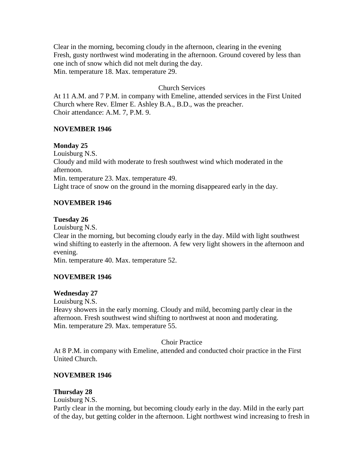Clear in the morning, becoming cloudy in the afternoon, clearing in the evening Fresh, gusty northwest wind moderating in the afternoon. Ground covered by less than one inch of snow which did not melt during the day. Min. temperature 18. Max. temperature 29.

# Church Services

At 11 A.M. and 7 P.M. in company with Emeline, attended services in the First United Church where Rev. Elmer E. Ashley B.A., B.D., was the preacher. Choir attendance: A.M. 7, P.M. 9.

#### **NOVEMBER 1946**

#### **Monday 25**

Louisburg N.S. Cloudy and mild with moderate to fresh southwest wind which moderated in the afternoon. Min. temperature 23. Max. temperature 49. Light trace of snow on the ground in the morning disappeared early in the day.

#### **NOVEMBER 1946**

#### **Tuesday 26**

Louisburg N.S.

Clear in the morning, but becoming cloudy early in the day. Mild with light southwest wind shifting to easterly in the afternoon. A few very light showers in the afternoon and evening.

Min. temperature 40. Max. temperature 52.

#### **NOVEMBER 1946**

#### **Wednesday 27**

Louisburg N.S.

Heavy showers in the early morning. Cloudy and mild, becoming partly clear in the afternoon. Fresh southwest wind shifting to northwest at noon and moderating. Min. temperature 29. Max. temperature 55.

#### Choir Practice

At 8 P.M. in company with Emeline, attended and conducted choir practice in the First United Church.

#### **NOVEMBER 1946**

#### **Thursday 28**

Louisburg N.S.

Partly clear in the morning, but becoming cloudy early in the day. Mild in the early part of the day, but getting colder in the afternoon. Light northwest wind increasing to fresh in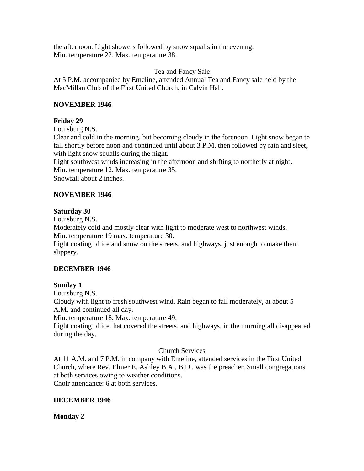the afternoon. Light showers followed by snow squalls in the evening. Min. temperature 22. Max. temperature 38.

#### Tea and Fancy Sale

At 5 P.M. accompanied by Emeline, attended Annual Tea and Fancy sale held by the MacMillan Club of the First United Church, in Calvin Hall.

# **NOVEMBER 1946**

# **Friday 29**

Louisburg N.S.

Clear and cold in the morning, but becoming cloudy in the forenoon. Light snow began to fall shortly before noon and continued until about 3 P.M. then followed by rain and sleet, with light snow squalls during the night.

Light southwest winds increasing in the afternoon and shifting to northerly at night. Min. temperature 12. Max. temperature 35. Snowfall about 2 inches.

# **NOVEMBER 1946**

# **Saturday 30**

Louisburg N.S.

Moderately cold and mostly clear with light to moderate west to northwest winds. Min. temperature 19 max. temperature 30.

Light coating of ice and snow on the streets, and highways, just enough to make them slippery.

# **DECEMBER 1946**

# **Sunday 1**

Louisburg N.S.

Cloudy with light to fresh southwest wind. Rain began to fall moderately, at about 5 A.M. and continued all day.

Min. temperature 18. Max. temperature 49.

Light coating of ice that covered the streets, and highways, in the morning all disappeared during the day.

# Church Services

At 11 A.M. and 7 P.M. in company with Emeline, attended services in the First United Church, where Rev. Elmer E. Ashley B.A., B.D., was the preacher. Small congregations at both services owing to weather conditions. Choir attendance: 6 at both services.

# **DECEMBER 1946**

# **Monday 2**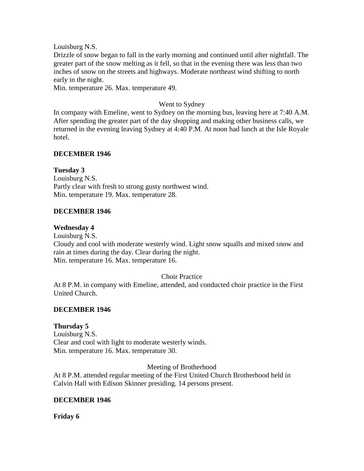Drizzle of snow began to fall in the early morning and continued until after nightfall. The greater part of the snow melting as it fell, so that in the evening there was less than two inches of snow on the streets and highways. Moderate northeast wind shifting to north early in the night.

Min. temperature 26. Max. temperature 49.

### Went to Sydney

In company with Emeline, went to Sydney on the morning bus, leaving here at 7:40 A.M. After spending the greater part of the day shopping and making other business calls, we returned in the evening leaving Sydney at 4:40 P.M. At noon had lunch at the Isle Royale hotel.

### **DECEMBER 1946**

#### **Tuesday 3**

Louisburg N.S. Partly clear with fresh to strong gusty northwest wind. Min. temperature 19. Max. temperature 28.

### **DECEMBER 1946**

#### **Wednesday 4**

Louisburg N.S.

Cloudy and cool with moderate westerly wind. Light snow squalls and mixed snow and rain at times during the day. Clear during the night. Min. temperature 16. Max. temperature 16.

#### Choir Practice

At 8 P.M. in company with Emeline, attended, and conducted choir practice in the First United Church.

#### **DECEMBER 1946**

#### **Thursday 5**

Louisburg N.S. Clear and cool with light to moderate westerly winds. Min. temperature 16. Max. temperature 30.

Meeting of Brotherhood

At 8 P.M. attended regular meeting of the First United Church Brotherhood held in Calvin Hall with Edison Skinner presiding. 14 persons present.

#### **DECEMBER 1946**

**Friday 6**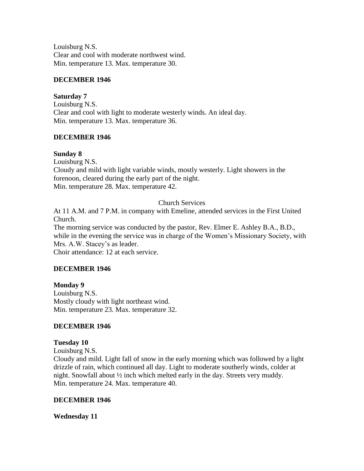Louisburg N.S. Clear and cool with moderate northwest wind. Min. temperature 13. Max. temperature 30.

### **DECEMBER 1946**

#### **Saturday 7**

Louisburg N.S. Clear and cool with light to moderate westerly winds. An ideal day. Min. temperature 13. Max. temperature 36.

# **DECEMBER 1946**

# **Sunday 8**

Louisburg N.S. Cloudy and mild with light variable winds, mostly westerly. Light showers in the forenoon, cleared during the early part of the night. Min. temperature 28. Max. temperature 42.

# Church Services

At 11 A.M. and 7 P.M. in company with Emeline, attended services in the First United Church.

The morning service was conducted by the pastor, Rev. Elmer E. Ashley B.A., B.D., while in the evening the service was in charge of the Women's Missionary Society, with Mrs. A.W. Stacey's as leader.

Choir attendance: 12 at each service.

# **DECEMBER 1946**

**Monday 9** Louisburg N.S. Mostly cloudy with light northeast wind. Min. temperature 23. Max. temperature 32.

# **DECEMBER 1946**

#### **Tuesday 10**

Louisburg N.S.

Cloudy and mild. Light fall of snow in the early morning which was followed by a light drizzle of rain, which continued all day. Light to moderate southerly winds, colder at night. Snowfall about ½ inch which melted early in the day. Streets very muddy. Min. temperature 24. Max. temperature 40.

#### **DECEMBER 1946**

**Wednesday 11**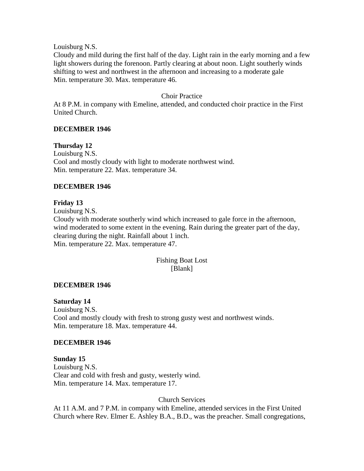Cloudy and mild during the first half of the day. Light rain in the early morning and a few light showers during the forenoon. Partly clearing at about noon. Light southerly winds shifting to west and northwest in the afternoon and increasing to a moderate gale Min. temperature 30. Max. temperature 46.

#### Choir Practice

At 8 P.M. in company with Emeline, attended, and conducted choir practice in the First United Church.

#### **DECEMBER 1946**

**Thursday 12** Louisburg N.S. Cool and mostly cloudy with light to moderate northwest wind. Min. temperature 22. Max. temperature 34.

#### **DECEMBER 1946**

#### **Friday 13**

Louisburg N.S. Cloudy with moderate southerly wind which increased to gale force in the afternoon, wind moderated to some extent in the evening. Rain during the greater part of the day, clearing during the night. Rainfall about 1 inch. Min. temperature 22. Max. temperature 47.

#### Fishing Boat Lost [Blank]

#### **DECEMBER 1946**

#### **Saturday 14**

Louisburg N.S. Cool and mostly cloudy with fresh to strong gusty west and northwest winds. Min. temperature 18. Max. temperature 44.

#### **DECEMBER 1946**

#### **Sunday 15**

Louisburg N.S. Clear and cold with fresh and gusty, westerly wind. Min. temperature 14. Max. temperature 17.

#### Church Services

At 11 A.M. and 7 P.M. in company with Emeline, attended services in the First United Church where Rev. Elmer E. Ashley B.A., B.D., was the preacher. Small congregations,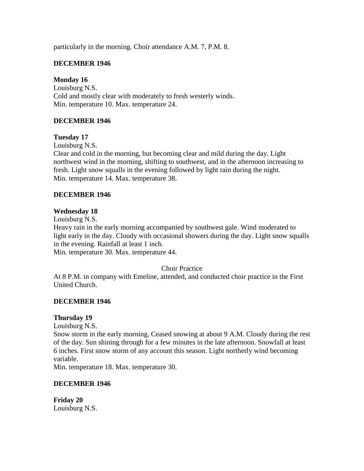particularly in the morning. Choir attendance A.M. 7, P.M. 8.

# **DECEMBER 1946**

### **Monday 16**

Louisburg N.S. Cold and mostly clear with moderately to fresh westerly winds. Min. temperature 10. Max. temperature 24.

### **DECEMBER 1946**

### **Tuesday 17**

Louisburg N.S.

Clear and cold in the morning, but becoming clear and mild during the day. Light northwest wind in the morning, shifting to southwest, and in the afternoon increasing to fresh. Light snow squalls in the evening followed by light rain during the night. Min. temperature 14. Max. temperature 38.

### **DECEMBER 1946**

#### **Wednesday 18**

Louisburg N.S.

Heavy rain in the early morning accompanied by southwest gale. Wind moderated to light early in the day. Cloudy with occasional showers during the day. Light snow squalls in the evening. Rainfall at least 1 inch.

Min. temperature 30. Max. temperature 44.

#### Choir Practice

At 8 P.M. in company with Emeline, attended, and conducted choir practice in the First United Church.

#### **DECEMBER 1946**

#### **Thursday 19**

Louisburg N.S.

Snow storm in the early morning. Ceased snowing at about 9 A.M. Cloudy during the rest of the day. Sun shining through for a few minutes in the late afternoon. Snowfall at least 6 inches. First snow storm of any account this season. Light northerly wind becoming variable.

Min. temperature 18. Max. temperature 30.

#### **DECEMBER 1946**

**Friday 20** Louisburg N.S.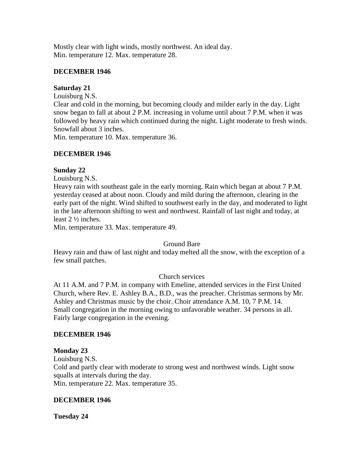Mostly clear with light winds, mostly northwest. An ideal day. Min. temperature 12. Max. temperature 28.

### **DECEMBER 1946**

# **Saturday 21**

Louisburg N.S.

Clear and cold in the morning, but becoming cloudy and milder early in the day. Light snow began to fall at about 2 P.M. increasing in volume until about 7 P.M. when it was followed by heavy rain which continued during the night. Light moderate to fresh winds. Snowfall about 3 inches.

Min. temperature 10. Max. temperature 36.

# **DECEMBER 1946**

### **Sunday 22**

Louisburg N.S.

Heavy rain with southeast gale in the early morning. Rain which began at about 7 P.M. yesterday ceased at about noon. Cloudy and mild during the afternoon, clearing in the early part of the night. Wind shifted to southwest early in the day, and moderated to light in the late afternoon shifting to west and northwest. Rainfall of last night and today, at least 2 ½ inches.

Min. temperature 33. Max. temperature 49.

#### Ground Bare

Heavy rain and thaw of last night and today melted all the snow, with the exception of a few small patches.

# Church services

At 11 A.M. and 7 P.M. in company with Emeline, attended services in the First United Church, where Rev. E. Ashley B.A., B.D., was the preacher. Christmas sermons by Mr. Ashley and Christmas music by the choir. Choir attendance A.M. 10, 7 P.M. 14. Small congregation in the morning owing to unfavorable weather. 34 persons in all. Fairly large congregation in the evening.

#### **DECEMBER 1946**

#### **Monday 23**

Louisburg N.S. Cold and partly clear with moderate to strong west and northwest winds. Light snow squalls at intervals during the day. Min. temperature 22. Max. temperature 35.

#### **DECEMBER 1946**

**Tuesday 24**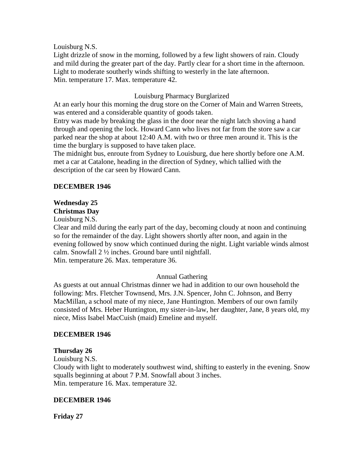Light drizzle of snow in the morning, followed by a few light showers of rain. Cloudy and mild during the greater part of the day. Partly clear for a short time in the afternoon. Light to moderate southerly winds shifting to westerly in the late afternoon. Min. temperature 17. Max. temperature 42.

### Louisburg Pharmacy Burglarized

At an early hour this morning the drug store on the Corner of Main and Warren Streets, was entered and a considerable quantity of goods taken.

Entry was made by breaking the glass in the door near the night latch shoving a hand through and opening the lock. Howard Cann who lives not far from the store saw a car parked near the shop at about 12:40 A.M. with two or three men around it. This is the time the burglary is supposed to have taken place.

The midnight bus, enroute from Sydney to Louisburg, due here shortly before one A.M. met a car at Catalone, heading in the direction of Sydney, which tallied with the description of the car seen by Howard Cann.

### **DECEMBER 1946**

# **Wednesday 25**

# **Christmas Day**

Louisburg N.S.

Clear and mild during the early part of the day, becoming cloudy at noon and continuing so for the remainder of the day. Light showers shortly after noon, and again in the evening followed by snow which continued during the night. Light variable winds almost calm. Snowfall 2 ½ inches. Ground bare until nightfall. Min. temperature 26. Max. temperature 36.

#### Annual Gathering

As guests at out annual Christmas dinner we had in addition to our own household the following: Mrs. Fletcher Townsend, Mrs. J.N. Spencer, John C. Johnson, and Berry MacMillan, a school mate of my niece, Jane Huntington. Members of our own family consisted of Mrs. Heber Huntington, my sister-in-law, her daughter, Jane, 8 years old, my niece, Miss Isabel MacCuish (maid) Emeline and myself.

#### **DECEMBER 1946**

#### **Thursday 26**

Louisburg N.S. Cloudy with light to moderately southwest wind, shifting to easterly in the evening. Snow squalls beginning at about 7 P.M. Snowfall about 3 inches. Min. temperature 16. Max. temperature 32.

#### **DECEMBER 1946**

**Friday 27**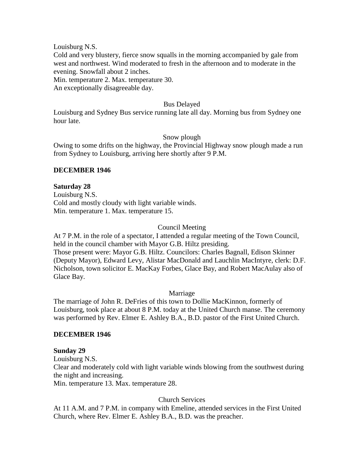Cold and very blustery, fierce snow squalls in the morning accompanied by gale from west and northwest. Wind moderated to fresh in the afternoon and to moderate in the evening. Snowfall about 2 inches.

Min. temperature 2. Max. temperature 30.

An exceptionally disagreeable day.

#### Bus Delayed

Louisburg and Sydney Bus service running late all day. Morning bus from Sydney one hour late.

#### Snow plough

Owing to some drifts on the highway, the Provincial Highway snow plough made a run from Sydney to Louisburg, arriving here shortly after 9 P.M.

#### **DECEMBER 1946**

#### **Saturday 28**

Louisburg N.S. Cold and mostly cloudy with light variable winds. Min. temperature 1. Max. temperature 15.

### Council Meeting

At 7 P.M. in the role of a spectator, I attended a regular meeting of the Town Council, held in the council chamber with Mayor G.B. Hiltz presiding. Those present were: Mayor G.B. Hiltz. Councilors: Charles Bagnall, Edison Skinner (Deputy Mayor), Edward Levy, Alistar MacDonald and Lauchlin MacIntyre, clerk: D.F. Nicholson, town solicitor E. MacKay Forbes, Glace Bay, and Robert MacAulay also of Glace Bay.

#### Marriage

The marriage of John R. DeFries of this town to Dollie MacKinnon, formerly of Louisburg, took place at about 8 P.M. today at the United Church manse. The ceremony was performed by Rev. Elmer E. Ashley B.A., B.D. pastor of the First United Church.

#### **DECEMBER 1946**

#### **Sunday 29**

Louisburg N.S. Clear and moderately cold with light variable winds blowing from the southwest during the night and increasing. Min. temperature 13. Max. temperature 28.

#### Church Services

At 11 A.M. and 7 P.M. in company with Emeline, attended services in the First United Church, where Rev. Elmer E. Ashley B.A., B.D. was the preacher.